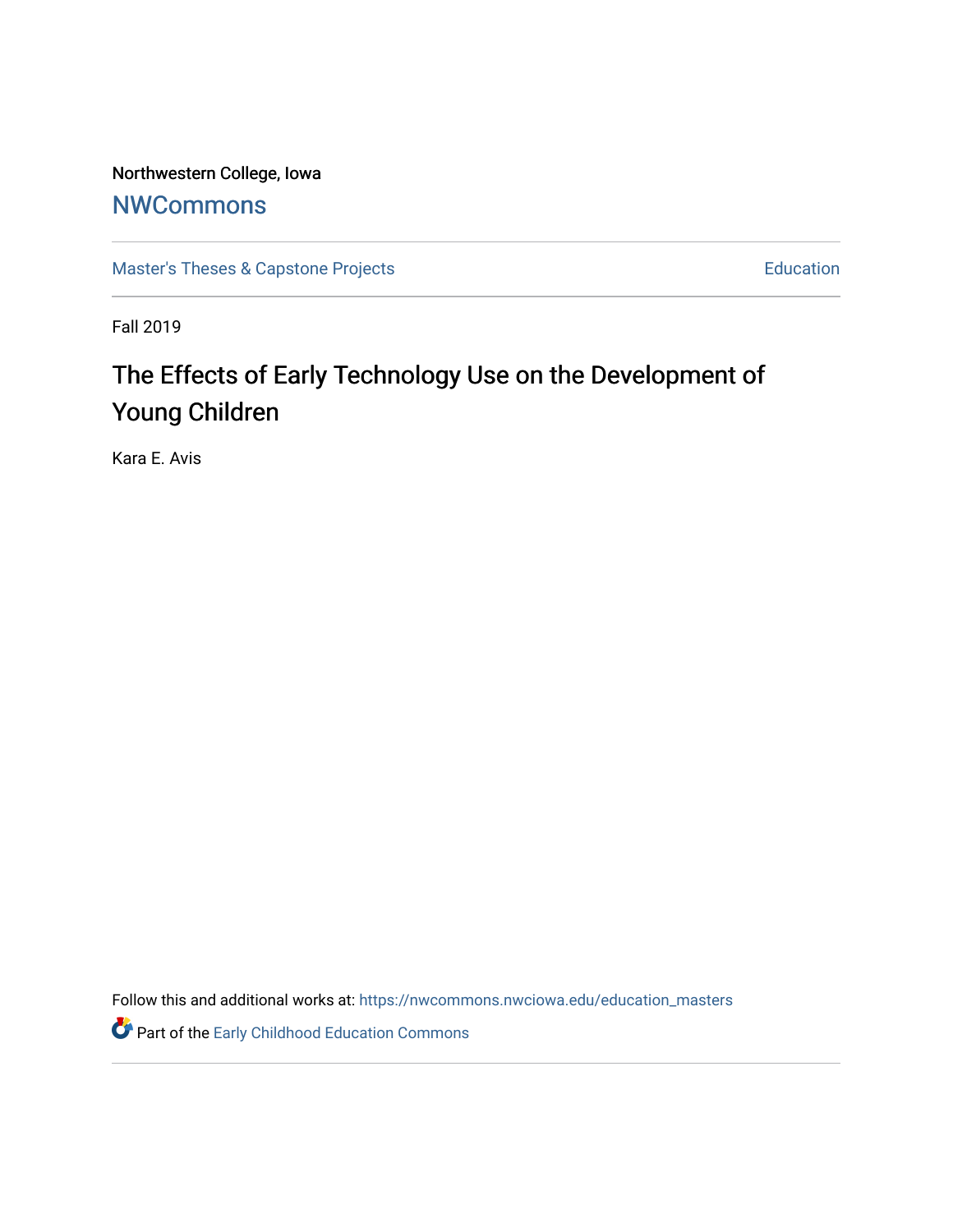Northwestern College, Iowa

## **[NWCommons](https://nwcommons.nwciowa.edu/)**

[Master's Theses & Capstone Projects](https://nwcommons.nwciowa.edu/education_masters) **Education** Education

Fall 2019

# The Effects of Early Technology Use on the Development of Young Children

Kara E. Avis

Follow this and additional works at: [https://nwcommons.nwciowa.edu/education\\_masters](https://nwcommons.nwciowa.edu/education_masters?utm_source=nwcommons.nwciowa.edu%2Feducation_masters%2F190&utm_medium=PDF&utm_campaign=PDFCoverPages)

**Part of the Early Childhood Education Commons**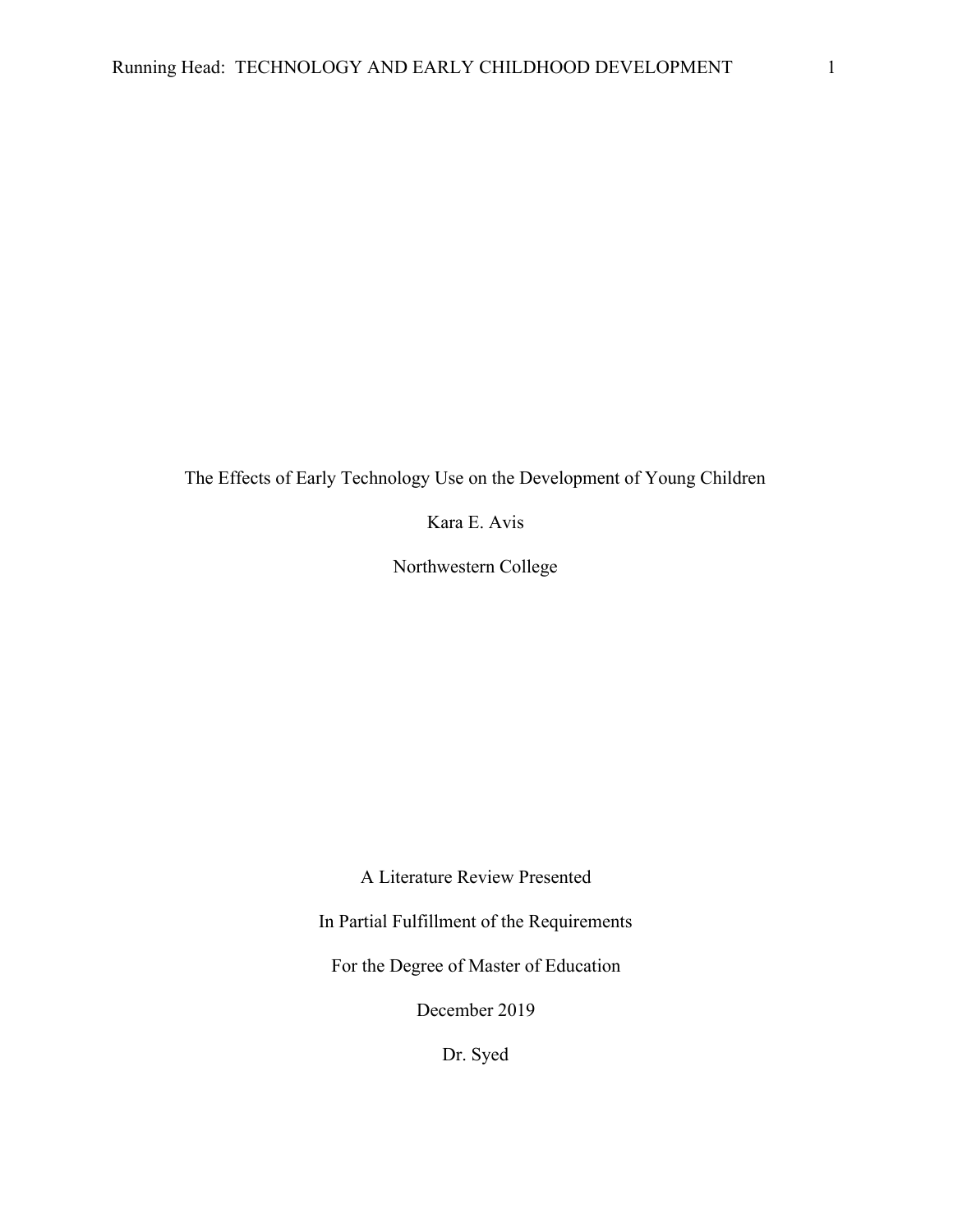The Effects of Early Technology Use on the Development of Young Children

Kara E. Avis

Northwestern College

A Literature Review Presented

In Partial Fulfillment of the Requirements

For the Degree of Master of Education

December 2019

Dr. Syed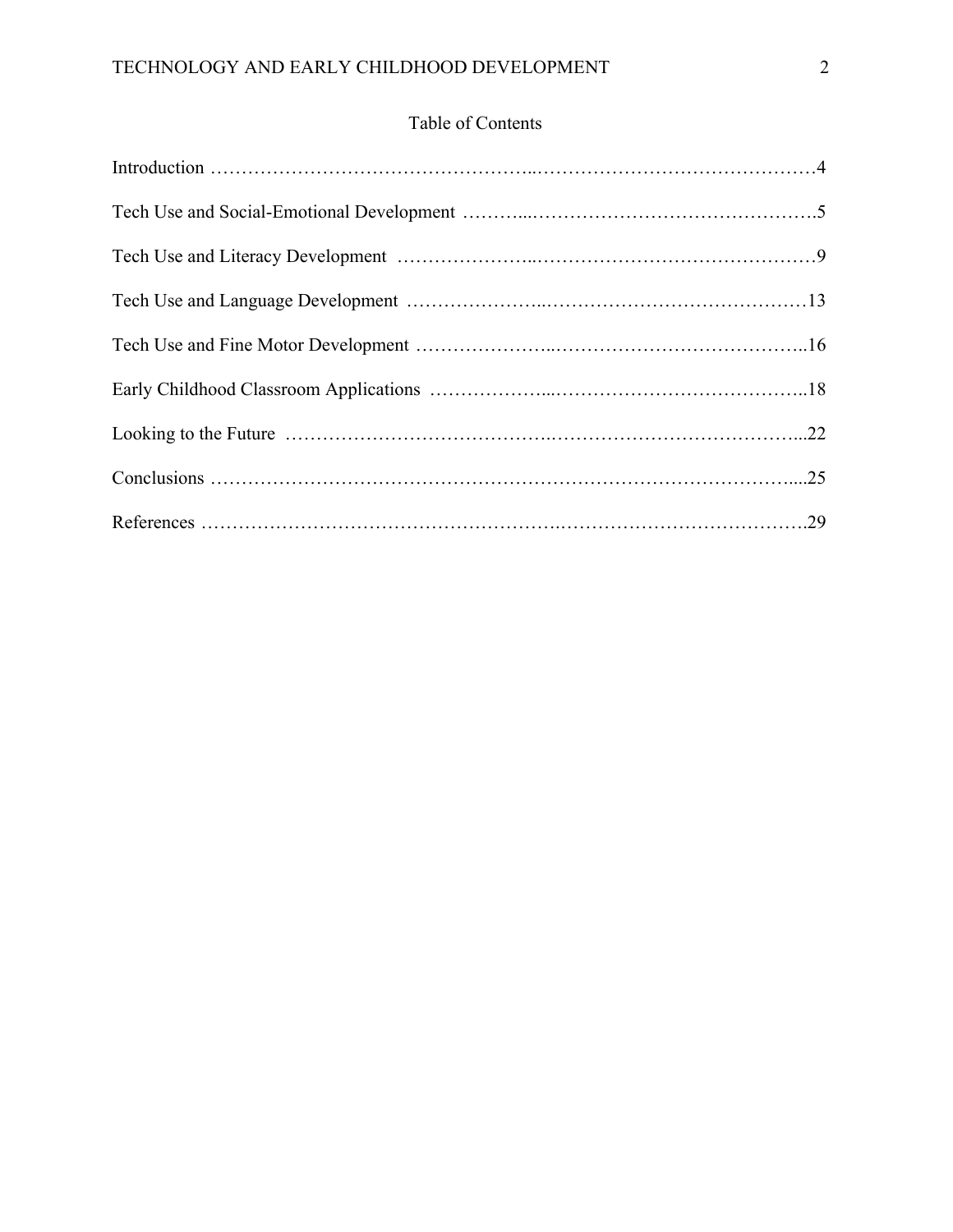### Table of Contents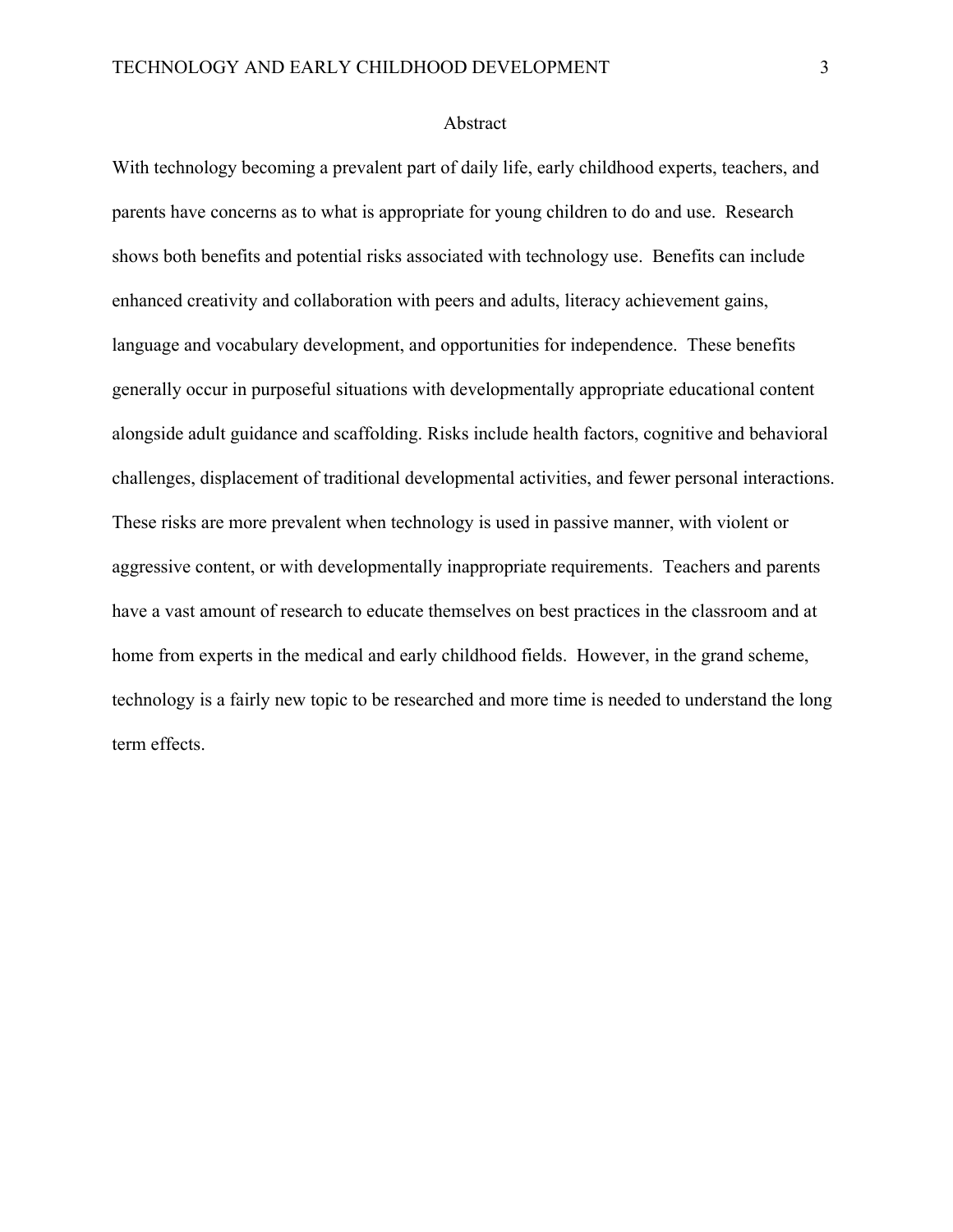#### Abstract

With technology becoming a prevalent part of daily life, early childhood experts, teachers, and parents have concerns as to what is appropriate for young children to do and use. Research shows both benefits and potential risks associated with technology use. Benefits can include enhanced creativity and collaboration with peers and adults, literacy achievement gains, language and vocabulary development, and opportunities for independence. These benefits generally occur in purposeful situations with developmentally appropriate educational content alongside adult guidance and scaffolding. Risks include health factors, cognitive and behavioral challenges, displacement of traditional developmental activities, and fewer personal interactions. These risks are more prevalent when technology is used in passive manner, with violent or aggressive content, or with developmentally inappropriate requirements. Teachers and parents have a vast amount of research to educate themselves on best practices in the classroom and at home from experts in the medical and early childhood fields. However, in the grand scheme, technology is a fairly new topic to be researched and more time is needed to understand the long term effects.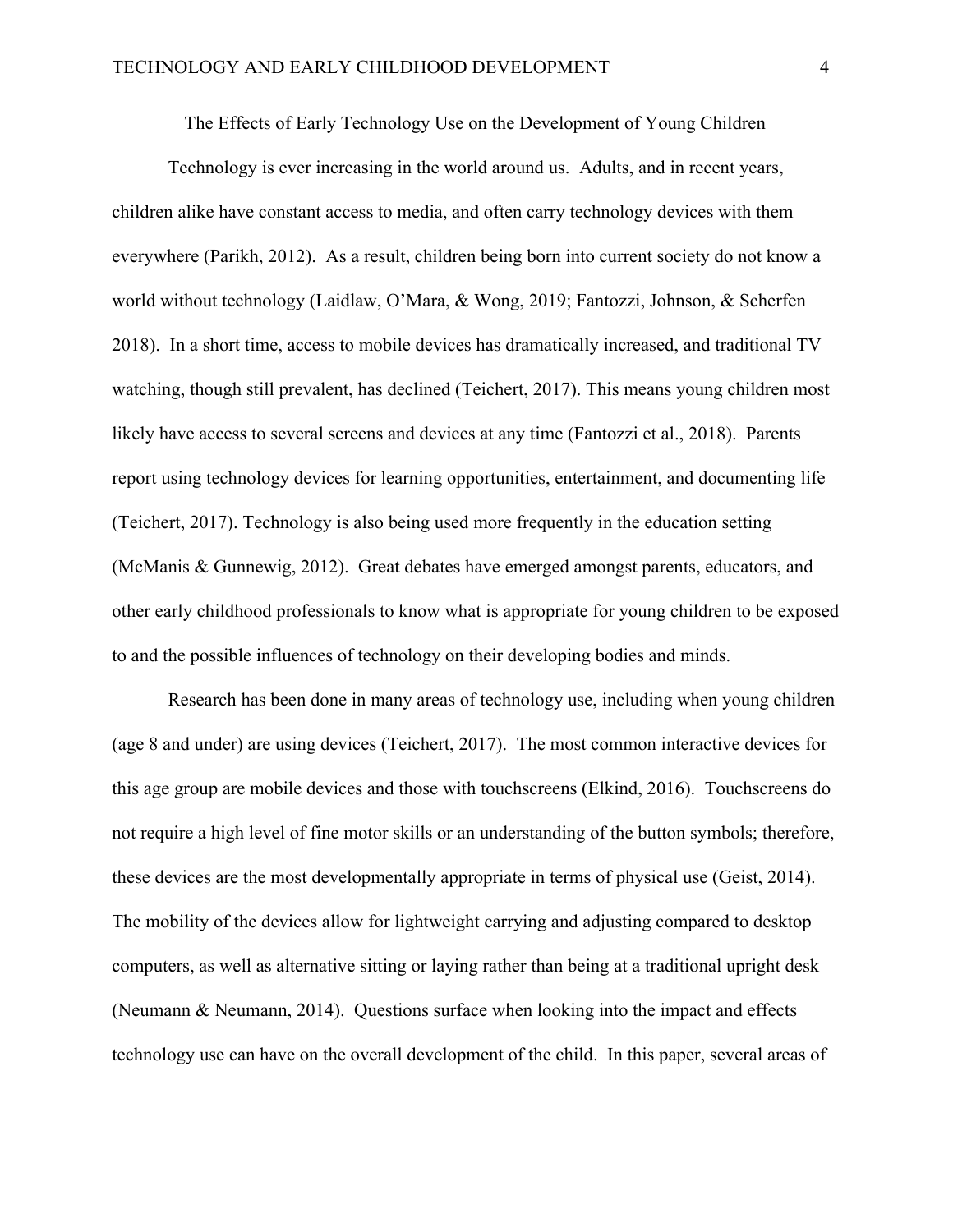The Effects of Early Technology Use on the Development of Young Children

Technology is ever increasing in the world around us. Adults, and in recent years, children alike have constant access to media, and often carry technology devices with them everywhere (Parikh, 2012). As a result, children being born into current society do not know a world without technology (Laidlaw, O'Mara, & Wong, 2019; Fantozzi, Johnson, & Scherfen 2018). In a short time, access to mobile devices has dramatically increased, and traditional TV watching, though still prevalent, has declined (Teichert, 2017). This means young children most likely have access to several screens and devices at any time (Fantozzi et al., 2018). Parents report using technology devices for learning opportunities, entertainment, and documenting life (Teichert, 2017). Technology is also being used more frequently in the education setting (McManis & Gunnewig, 2012). Great debates have emerged amongst parents, educators, and other early childhood professionals to know what is appropriate for young children to be exposed to and the possible influences of technology on their developing bodies and minds.

Research has been done in many areas of technology use, including when young children (age 8 and under) are using devices (Teichert, 2017). The most common interactive devices for this age group are mobile devices and those with touchscreens (Elkind, 2016). Touchscreens do not require a high level of fine motor skills or an understanding of the button symbols; therefore, these devices are the most developmentally appropriate in terms of physical use (Geist, 2014). The mobility of the devices allow for lightweight carrying and adjusting compared to desktop computers, as well as alternative sitting or laying rather than being at a traditional upright desk (Neumann & Neumann, 2014). Questions surface when looking into the impact and effects technology use can have on the overall development of the child. In this paper, several areas of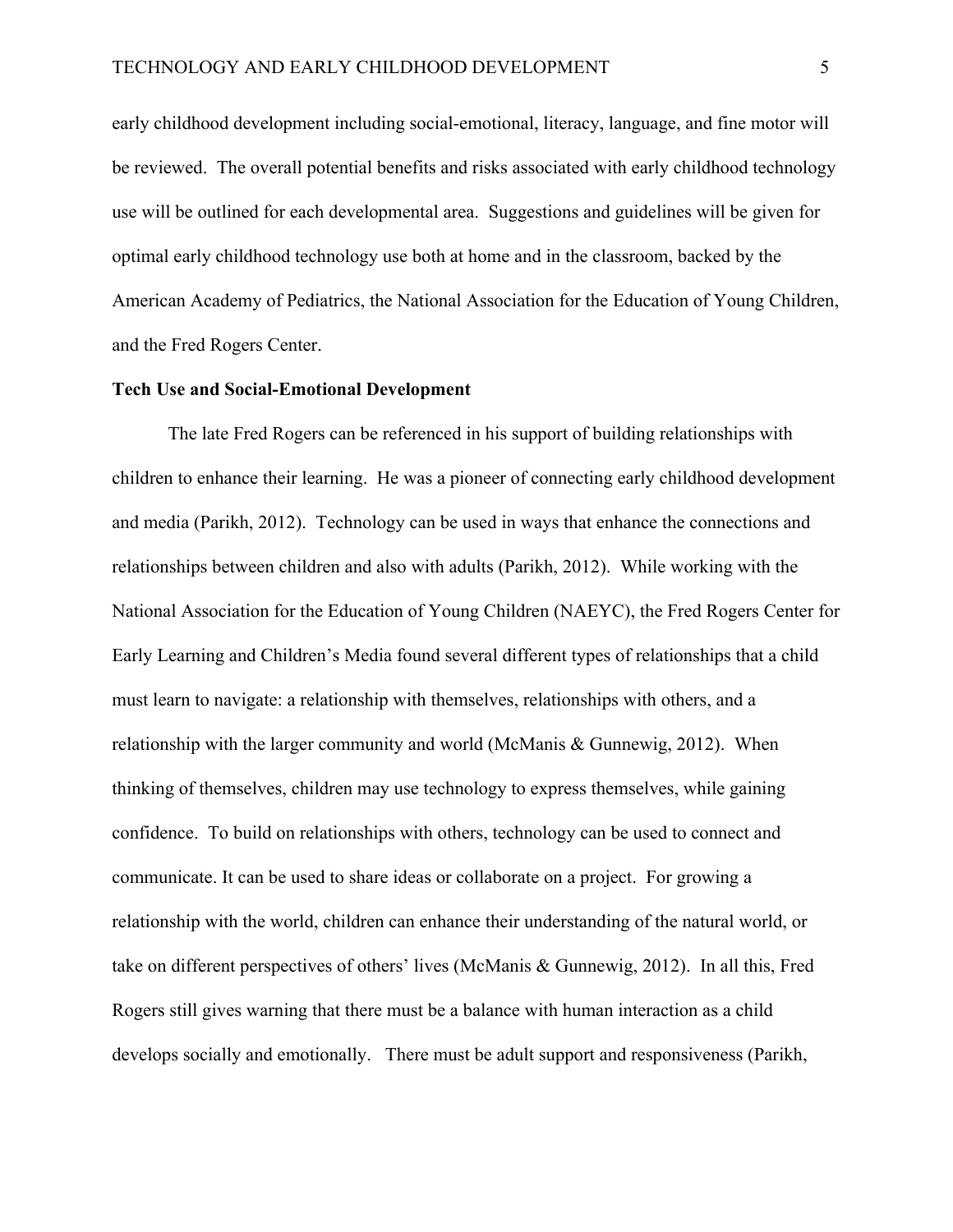early childhood development including social-emotional, literacy, language, and fine motor will be reviewed. The overall potential benefits and risks associated with early childhood technology use will be outlined for each developmental area. Suggestions and guidelines will be given for optimal early childhood technology use both at home and in the classroom, backed by the American Academy of Pediatrics, the National Association for the Education of Young Children, and the Fred Rogers Center.

#### **Tech Use and Social-Emotional Development**

The late Fred Rogers can be referenced in his support of building relationships with children to enhance their learning. He was a pioneer of connecting early childhood development and media (Parikh, 2012). Technology can be used in ways that enhance the connections and relationships between children and also with adults (Parikh, 2012). While working with the National Association for the Education of Young Children (NAEYC), the Fred Rogers Center for Early Learning and Children's Media found several different types of relationships that a child must learn to navigate: a relationship with themselves, relationships with others, and a relationship with the larger community and world (McManis & Gunnewig, 2012). When thinking of themselves, children may use technology to express themselves, while gaining confidence. To build on relationships with others, technology can be used to connect and communicate. It can be used to share ideas or collaborate on a project. For growing a relationship with the world, children can enhance their understanding of the natural world, or take on different perspectives of others' lives (McManis & Gunnewig, 2012). In all this, Fred Rogers still gives warning that there must be a balance with human interaction as a child develops socially and emotionally. There must be adult support and responsiveness (Parikh,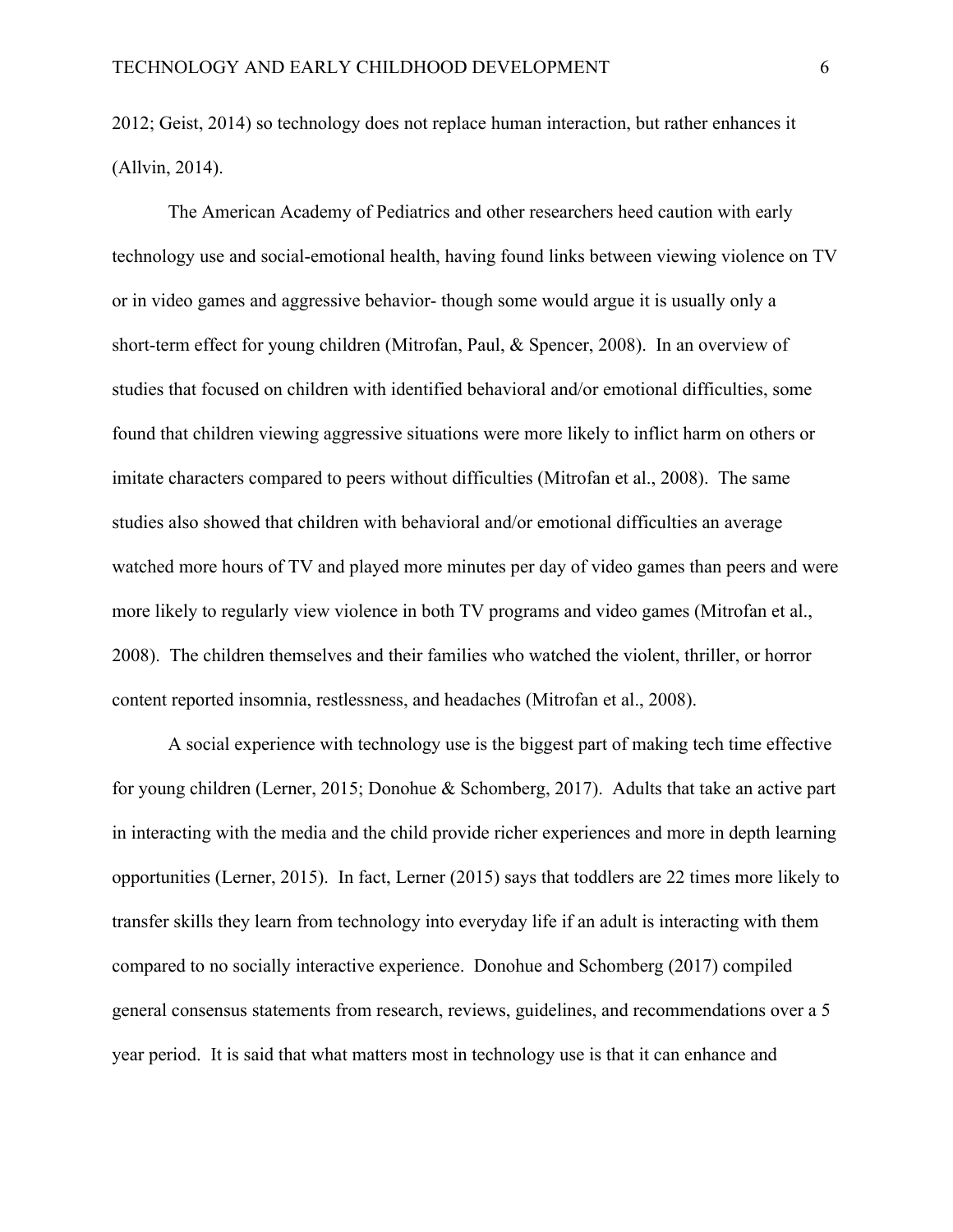2012; Geist, 2014) so technology does not replace human interaction, but rather enhances it (Allvin, 2014).

The American Academy of Pediatrics and other researchers heed caution with early technology use and social-emotional health, having found links between viewing violence on TV or in video games and aggressive behavior- though some would argue it is usually only a short-term effect for young children (Mitrofan, Paul, & Spencer, 2008). In an overview of studies that focused on children with identified behavioral and/or emotional difficulties, some found that children viewing aggressive situations were more likely to inflict harm on others or imitate characters compared to peers without difficulties (Mitrofan et al., 2008). The same studies also showed that children with behavioral and/or emotional difficulties an average watched more hours of TV and played more minutes per day of video games than peers and were more likely to regularly view violence in both TV programs and video games (Mitrofan et al., 2008). The children themselves and their families who watched the violent, thriller, or horror content reported insomnia, restlessness, and headaches (Mitrofan et al., 2008).

A social experience with technology use is the biggest part of making tech time effective for young children (Lerner, 2015; Donohue & Schomberg, 2017). Adults that take an active part in interacting with the media and the child provide richer experiences and more in depth learning opportunities (Lerner, 2015). In fact, Lerner (2015) says that toddlers are 22 times more likely to transfer skills they learn from technology into everyday life if an adult is interacting with them compared to no socially interactive experience. Donohue and Schomberg (2017) compiled general consensus statements from research, reviews, guidelines, and recommendations over a 5 year period. It is said that what matters most in technology use is that it can enhance and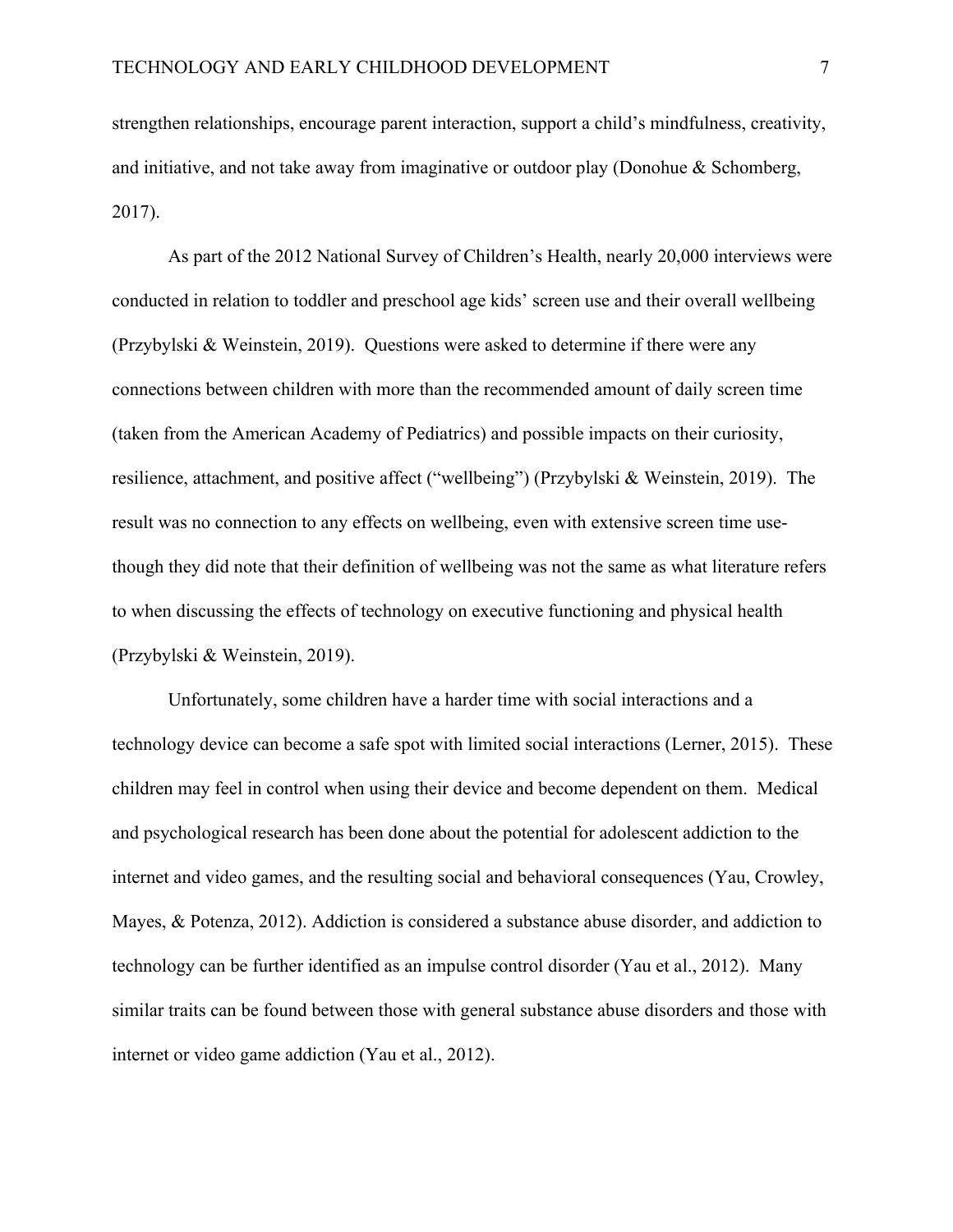strengthen relationships, encourage parent interaction, support a child's mindfulness, creativity, and initiative, and not take away from imaginative or outdoor play (Donohue & Schomberg, 2017).

As part of the 2012 National Survey of Children's Health, nearly 20,000 interviews were conducted in relation to toddler and preschool age kids' screen use and their overall wellbeing (Przybylski & Weinstein, 2019). Questions were asked to determine if there were any connections between children with more than the recommended amount of daily screen time (taken from the American Academy of Pediatrics) and possible impacts on their curiosity, resilience, attachment, and positive affect ("wellbeing") (Przybylski & Weinstein, 2019). The result was no connection to any effects on wellbeing, even with extensive screen time usethough they did note that their definition of wellbeing was not the same as what literature refers to when discussing the effects of technology on executive functioning and physical health (Przybylski & Weinstein, 2019).

Unfortunately, some children have a harder time with social interactions and a technology device can become a safe spot with limited social interactions (Lerner, 2015). These children may feel in control when using their device and become dependent on them. Medical and psychological research has been done about the potential for adolescent addiction to the internet and video games, and the resulting social and behavioral consequences (Yau, Crowley, Mayes, & Potenza, 2012). Addiction is considered a substance abuse disorder, and addiction to technology can be further identified as an impulse control disorder (Yau et al., 2012). Many similar traits can be found between those with general substance abuse disorders and those with internet or video game addiction (Yau et al., 2012).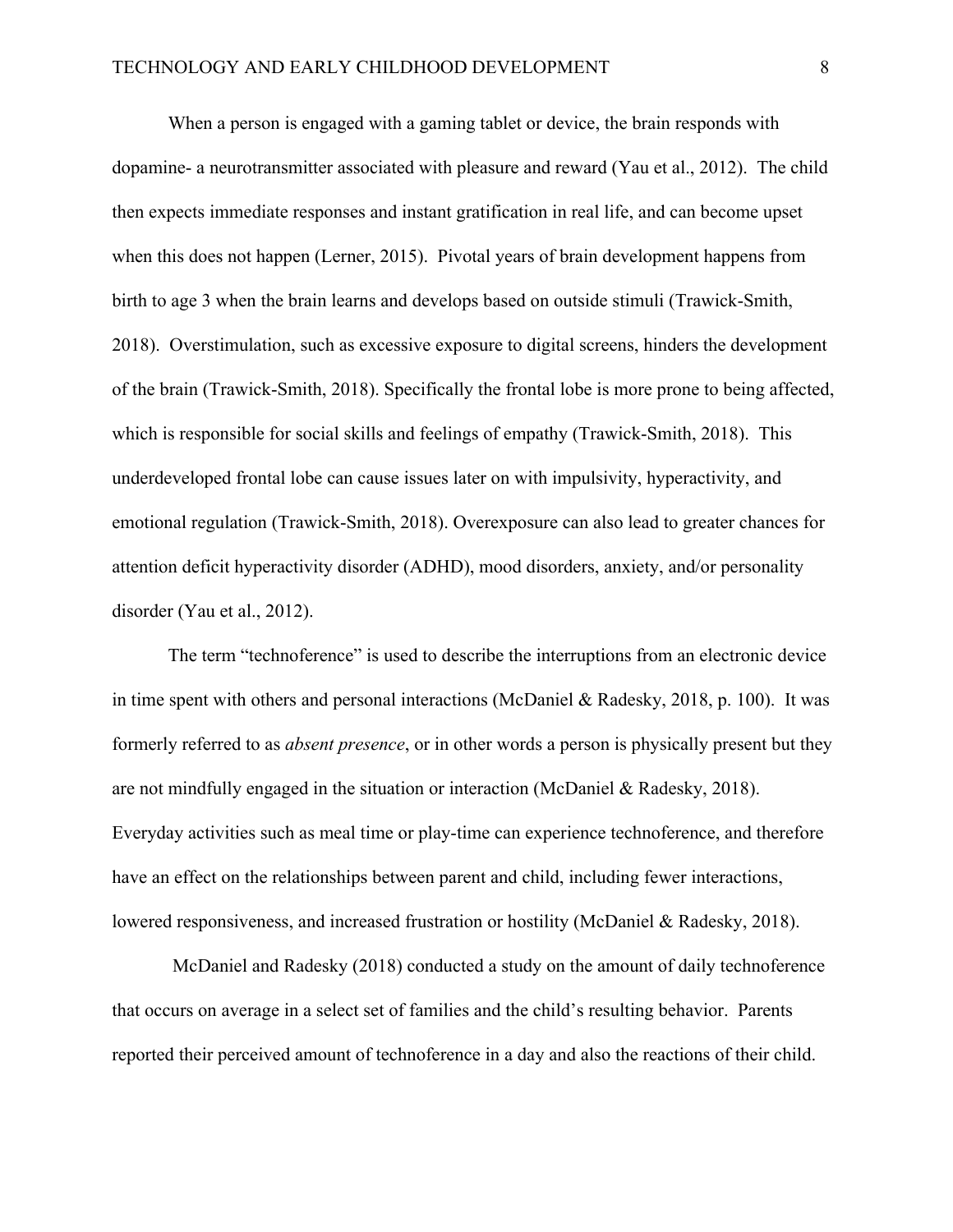When a person is engaged with a gaming tablet or device, the brain responds with dopamine- a neurotransmitter associated with pleasure and reward (Yau et al., 2012). The child then expects immediate responses and instant gratification in real life, and can become upset when this does not happen (Lerner, 2015). Pivotal years of brain development happens from birth to age 3 when the brain learns and develops based on outside stimuli (Trawick-Smith, 2018). Overstimulation, such as excessive exposure to digital screens, hinders the development of the brain (Trawick-Smith, 2018). Specifically the frontal lobe is more prone to being affected, which is responsible for social skills and feelings of empathy (Trawick-Smith, 2018). This underdeveloped frontal lobe can cause issues later on with impulsivity, hyperactivity, and emotional regulation (Trawick-Smith, 2018). Overexposure can also lead to greater chances for attention deficit hyperactivity disorder (ADHD), mood disorders, anxiety, and/or personality disorder (Yau et al., 2012).

The term "technoference" is used to describe the interruptions from an electronic device in time spent with others and personal interactions (McDaniel & Radesky, 2018, p. 100). It was formerly referred to as *absent presence*, or in other words a person is physically present but they are not mindfully engaged in the situation or interaction (McDaniel & Radesky, 2018). Everyday activities such as meal time or play-time can experience technoference, and therefore have an effect on the relationships between parent and child, including fewer interactions, lowered responsiveness, and increased frustration or hostility (McDaniel & Radesky, 2018).

 McDaniel and Radesky (2018) conducted a study on the amount of daily technoference that occurs on average in a select set of families and the child's resulting behavior. Parents reported their perceived amount of technoference in a day and also the reactions of their child.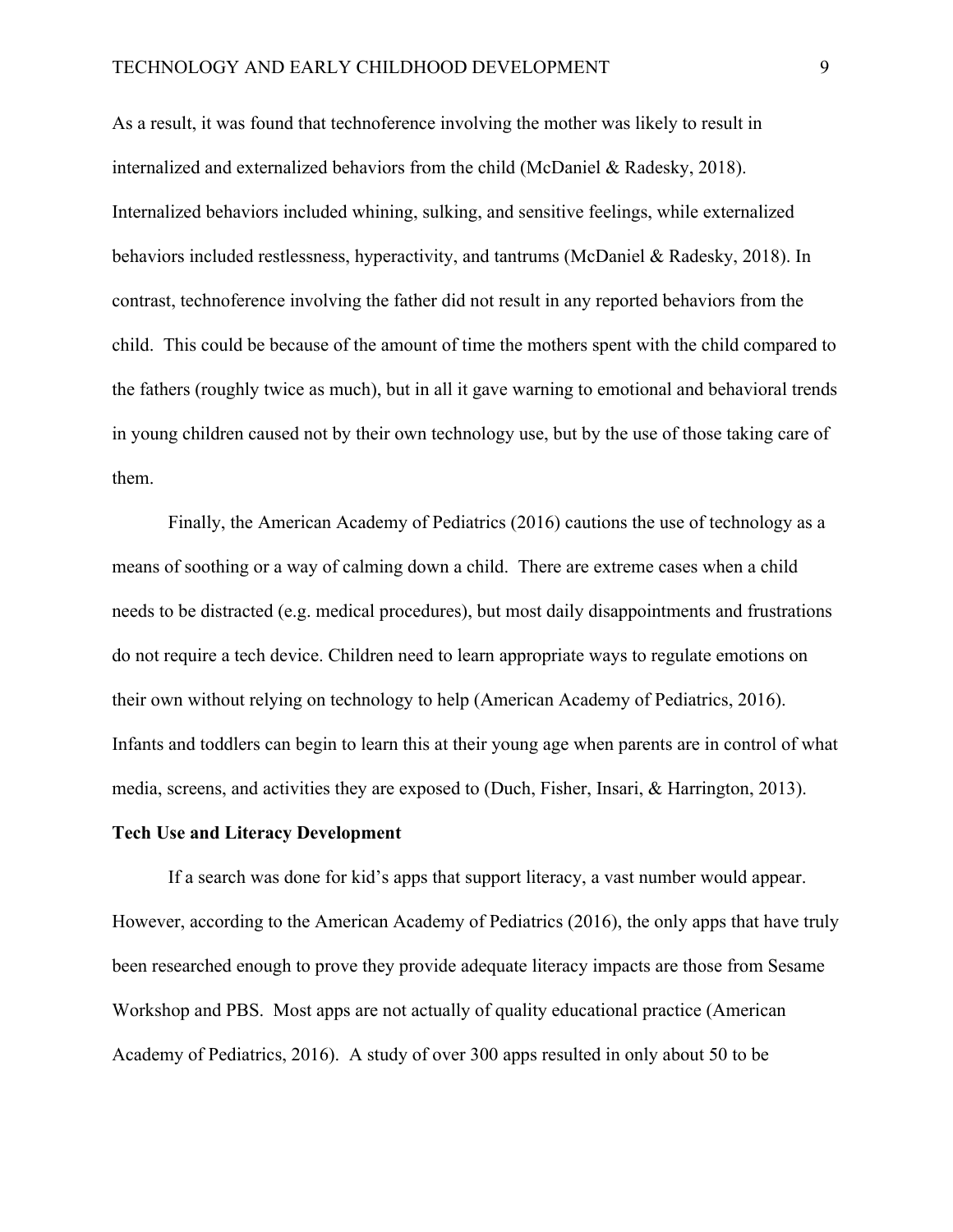As a result, it was found that technoference involving the mother was likely to result in internalized and externalized behaviors from the child (McDaniel & Radesky, 2018). Internalized behaviors included whining, sulking, and sensitive feelings, while externalized behaviors included restlessness, hyperactivity, and tantrums (McDaniel & Radesky, 2018). In contrast, technoference involving the father did not result in any reported behaviors from the child. This could be because of the amount of time the mothers spent with the child compared to the fathers (roughly twice as much), but in all it gave warning to emotional and behavioral trends in young children caused not by their own technology use, but by the use of those taking care of them.

Finally, the American Academy of Pediatrics (2016) cautions the use of technology as a means of soothing or a way of calming down a child. There are extreme cases when a child needs to be distracted (e.g. medical procedures), but most daily disappointments and frustrations do not require a tech device. Children need to learn appropriate ways to regulate emotions on their own without relying on technology to help (American Academy of Pediatrics, 2016). Infants and toddlers can begin to learn this at their young age when parents are in control of what media, screens, and activities they are exposed to (Duch, Fisher, Insari, & Harrington, 2013).

#### **Tech Use and Literacy Development**

If a search was done for kid's apps that support literacy, a vast number would appear. However, according to the American Academy of Pediatrics (2016), the only apps that have truly been researched enough to prove they provide adequate literacy impacts are those from Sesame Workshop and PBS. Most apps are not actually of quality educational practice (American Academy of Pediatrics, 2016). A study of over 300 apps resulted in only about 50 to be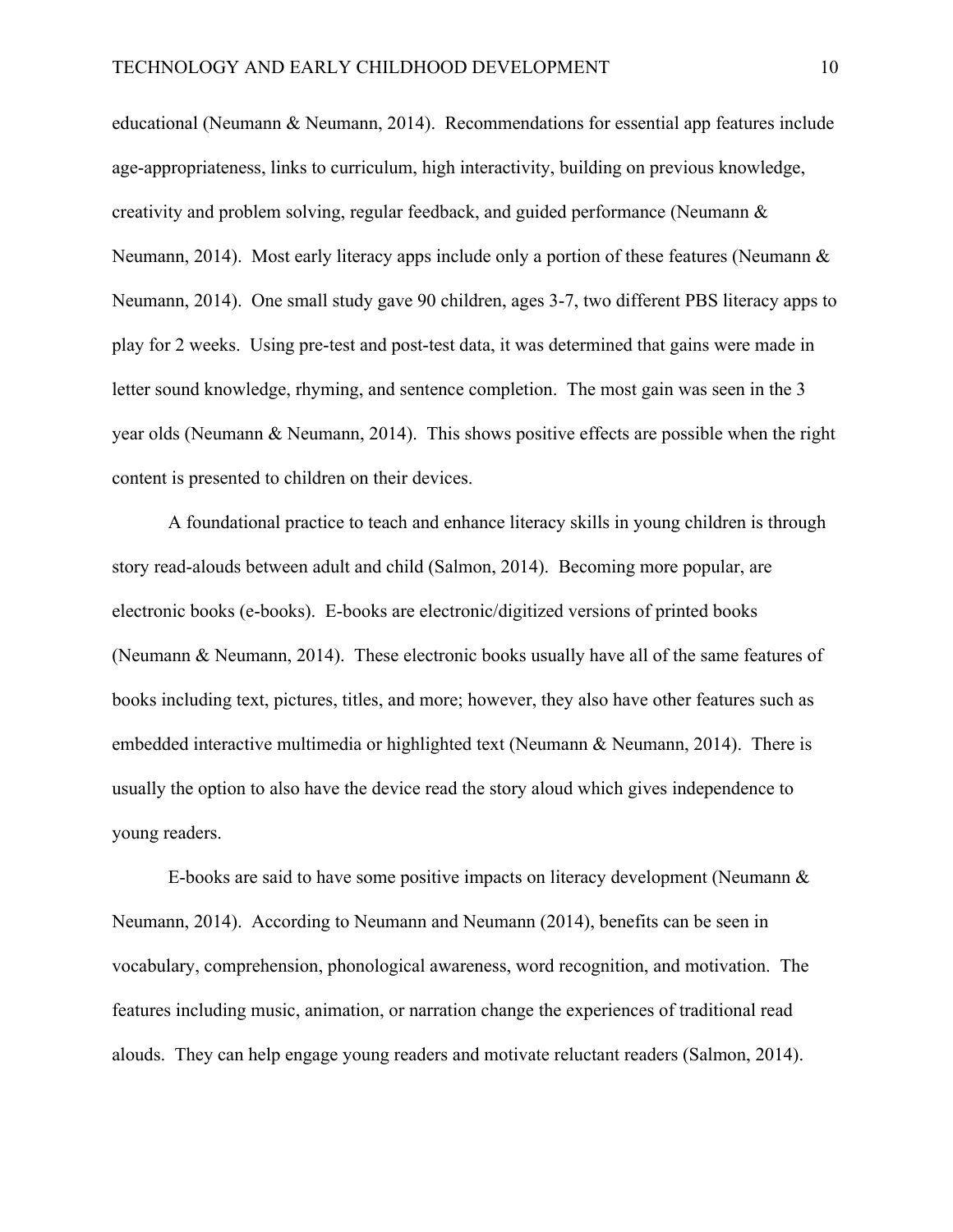educational (Neumann & Neumann, 2014). Recommendations for essential app features include age-appropriateness, links to curriculum, high interactivity, building on previous knowledge, creativity and problem solving, regular feedback, and guided performance (Neumann & Neumann, 2014). Most early literacy apps include only a portion of these features (Neumann & Neumann, 2014). One small study gave 90 children, ages 3-7, two different PBS literacy apps to play for 2 weeks. Using pre-test and post-test data, it was determined that gains were made in letter sound knowledge, rhyming, and sentence completion. The most gain was seen in the 3 year olds (Neumann & Neumann, 2014). This shows positive effects are possible when the right content is presented to children on their devices.

A foundational practice to teach and enhance literacy skills in young children is through story read-alouds between adult and child (Salmon, 2014). Becoming more popular, are electronic books (e-books). E-books are electronic/digitized versions of printed books (Neumann & Neumann, 2014). These electronic books usually have all of the same features of books including text, pictures, titles, and more; however, they also have other features such as embedded interactive multimedia or highlighted text (Neumann & Neumann, 2014). There is usually the option to also have the device read the story aloud which gives independence to young readers.

E-books are said to have some positive impacts on literacy development (Neumann  $\&$ Neumann, 2014). According to Neumann and Neumann (2014), benefits can be seen in vocabulary, comprehension, phonological awareness, word recognition, and motivation. The features including music, animation, or narration change the experiences of traditional read alouds. They can help engage young readers and motivate reluctant readers (Salmon, 2014).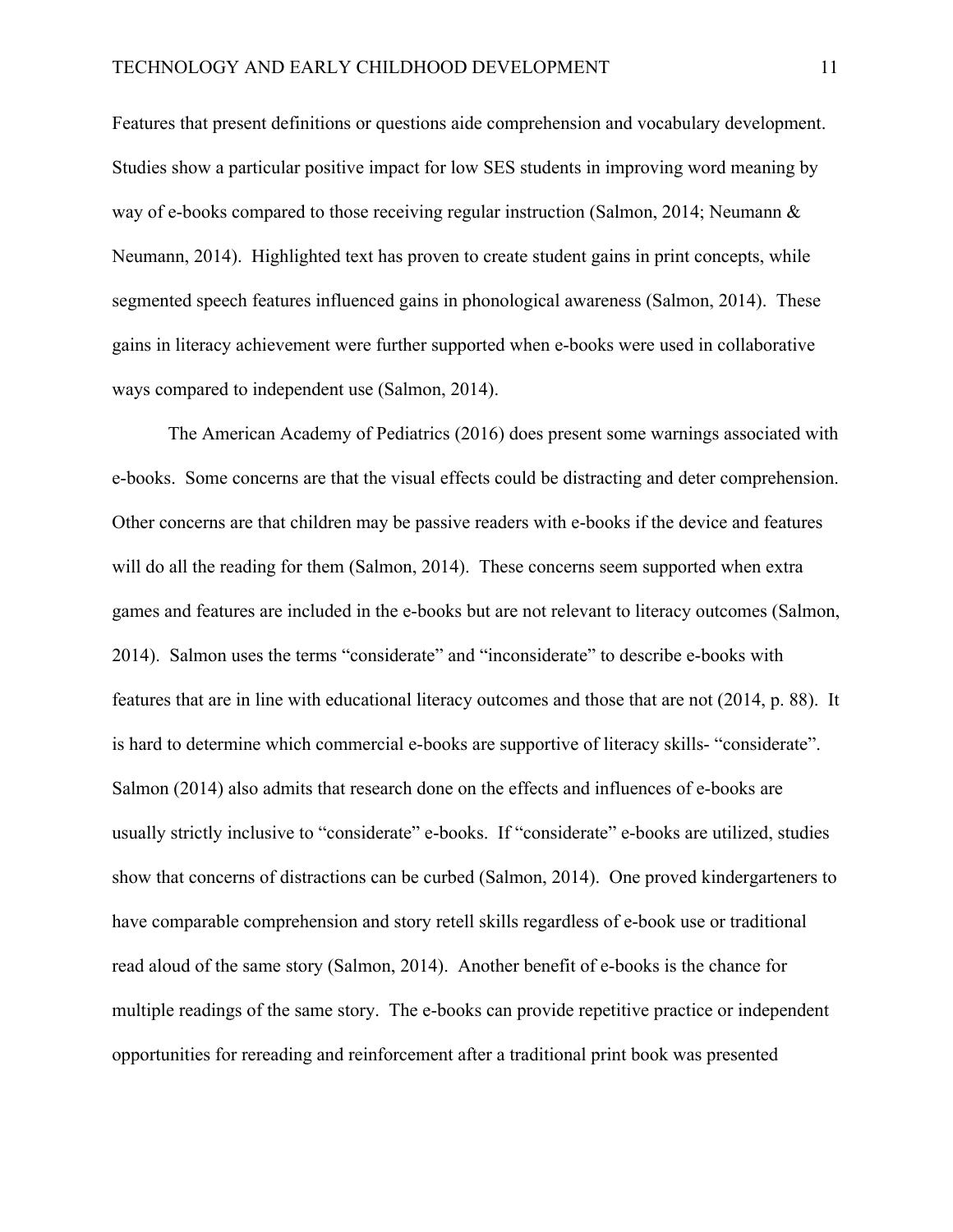Features that present definitions or questions aide comprehension and vocabulary development. Studies show a particular positive impact for low SES students in improving word meaning by way of e-books compared to those receiving regular instruction (Salmon, 2014; Neumann & Neumann, 2014). Highlighted text has proven to create student gains in print concepts, while segmented speech features influenced gains in phonological awareness (Salmon, 2014). These gains in literacy achievement were further supported when e-books were used in collaborative ways compared to independent use (Salmon, 2014).

The American Academy of Pediatrics (2016) does present some warnings associated with e-books. Some concerns are that the visual effects could be distracting and deter comprehension. Other concerns are that children may be passive readers with e-books if the device and features will do all the reading for them (Salmon, 2014). These concerns seem supported when extra games and features are included in the e-books but are not relevant to literacy outcomes (Salmon, 2014). Salmon uses the terms "considerate" and "inconsiderate" to describe e-books with features that are in line with educational literacy outcomes and those that are not (2014, p. 88). It is hard to determine which commercial e-books are supportive of literacy skills- "considerate". Salmon (2014) also admits that research done on the effects and influences of e-books are usually strictly inclusive to "considerate" e-books. If "considerate" e-books are utilized, studies show that concerns of distractions can be curbed (Salmon, 2014). One proved kindergarteners to have comparable comprehension and story retell skills regardless of e-book use or traditional read aloud of the same story (Salmon, 2014). Another benefit of e-books is the chance for multiple readings of the same story. The e-books can provide repetitive practice or independent opportunities for rereading and reinforcement after a traditional print book was presented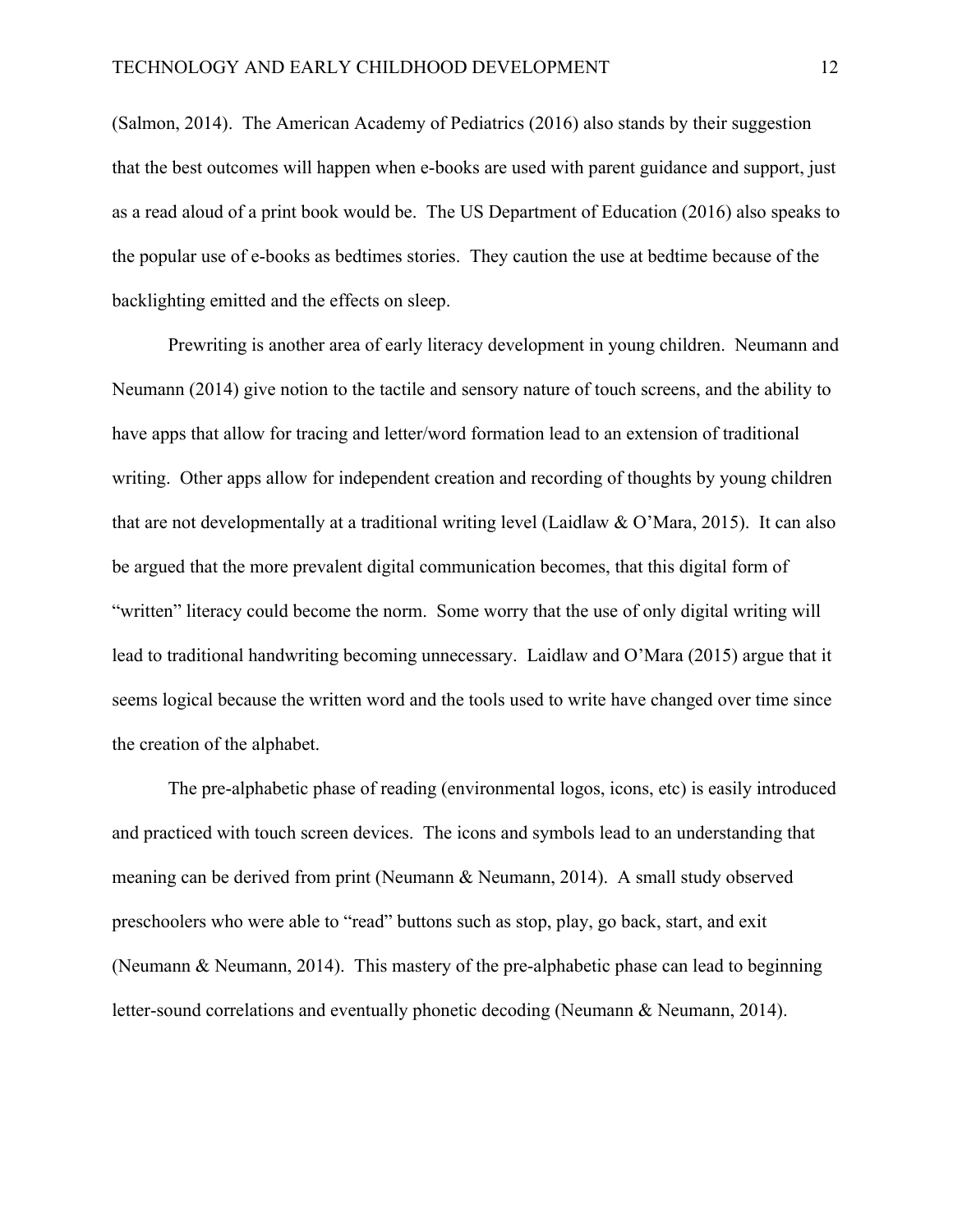(Salmon, 2014). The American Academy of Pediatrics (2016) also stands by their suggestion that the best outcomes will happen when e-books are used with parent guidance and support, just as a read aloud of a print book would be. The US Department of Education (2016) also speaks to the popular use of e-books as bedtimes stories. They caution the use at bedtime because of the backlighting emitted and the effects on sleep.

Prewriting is another area of early literacy development in young children. Neumann and Neumann (2014) give notion to the tactile and sensory nature of touch screens, and the ability to have apps that allow for tracing and letter/word formation lead to an extension of traditional writing. Other apps allow for independent creation and recording of thoughts by young children that are not developmentally at a traditional writing level (Laidlaw & O'Mara, 2015). It can also be argued that the more prevalent digital communication becomes, that this digital form of "written" literacy could become the norm. Some worry that the use of only digital writing will lead to traditional handwriting becoming unnecessary. Laidlaw and O'Mara (2015) argue that it seems logical because the written word and the tools used to write have changed over time since the creation of the alphabet.

The pre-alphabetic phase of reading (environmental logos, icons, etc) is easily introduced and practiced with touch screen devices. The icons and symbols lead to an understanding that meaning can be derived from print (Neumann & Neumann, 2014). A small study observed preschoolers who were able to "read" buttons such as stop, play, go back, start, and exit (Neumann & Neumann, 2014). This mastery of the pre-alphabetic phase can lead to beginning letter-sound correlations and eventually phonetic decoding (Neumann & Neumann, 2014).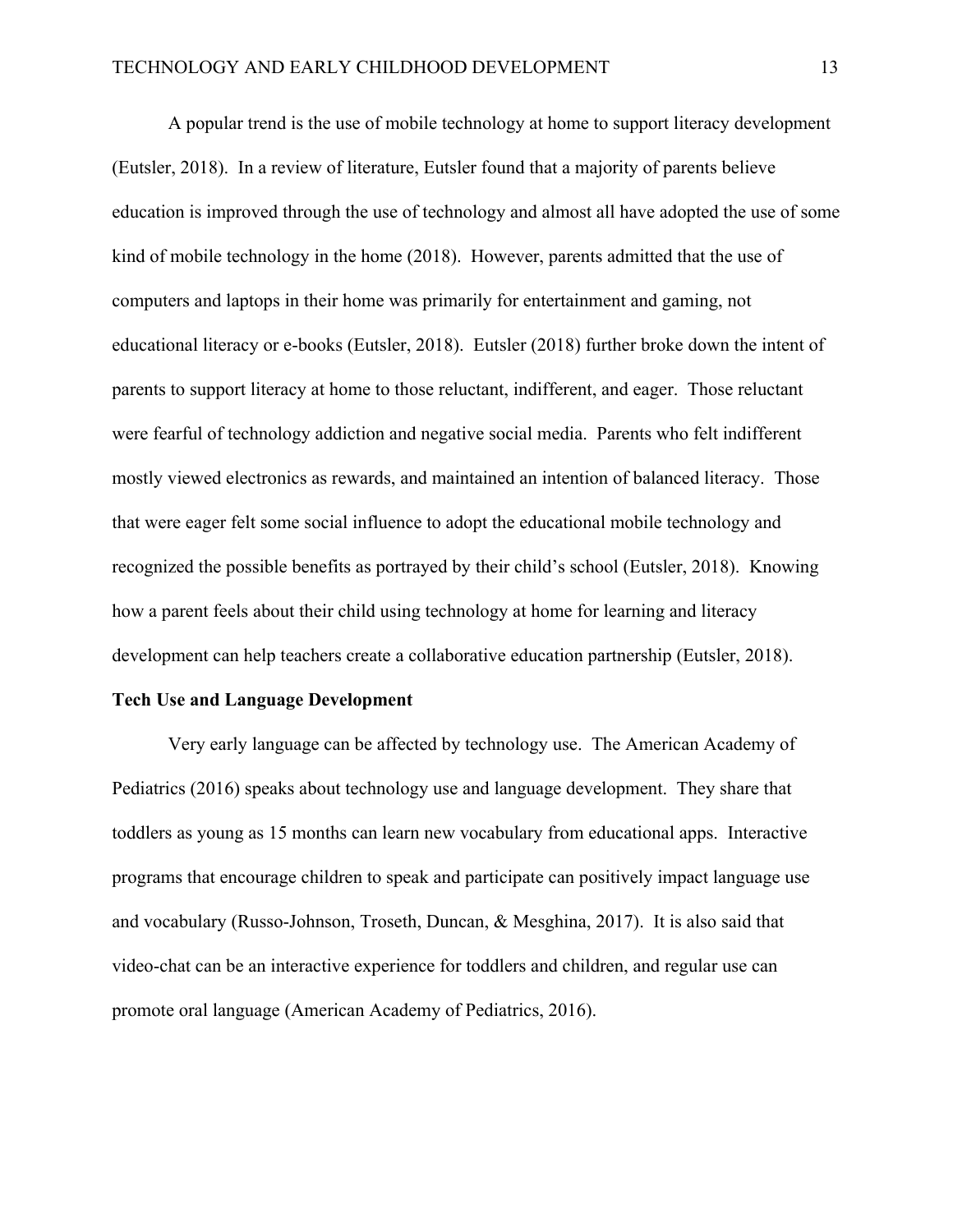A popular trend is the use of mobile technology at home to support literacy development (Eutsler, 2018). In a review of literature, Eutsler found that a majority of parents believe education is improved through the use of technology and almost all have adopted the use of some kind of mobile technology in the home (2018). However, parents admitted that the use of computers and laptops in their home was primarily for entertainment and gaming, not educational literacy or e-books (Eutsler, 2018). Eutsler (2018) further broke down the intent of parents to support literacy at home to those reluctant, indifferent, and eager. Those reluctant were fearful of technology addiction and negative social media. Parents who felt indifferent mostly viewed electronics as rewards, and maintained an intention of balanced literacy. Those that were eager felt some social influence to adopt the educational mobile technology and recognized the possible benefits as portrayed by their child's school (Eutsler, 2018). Knowing how a parent feels about their child using technology at home for learning and literacy development can help teachers create a collaborative education partnership (Eutsler, 2018).

#### **Tech Use and Language Development**

Very early language can be affected by technology use. The American Academy of Pediatrics (2016) speaks about technology use and language development. They share that toddlers as young as 15 months can learn new vocabulary from educational apps. Interactive programs that encourage children to speak and participate can positively impact language use and vocabulary (Russo-Johnson, Troseth, Duncan, & Mesghina, 2017). It is also said that video-chat can be an interactive experience for toddlers and children, and regular use can promote oral language (American Academy of Pediatrics, 2016).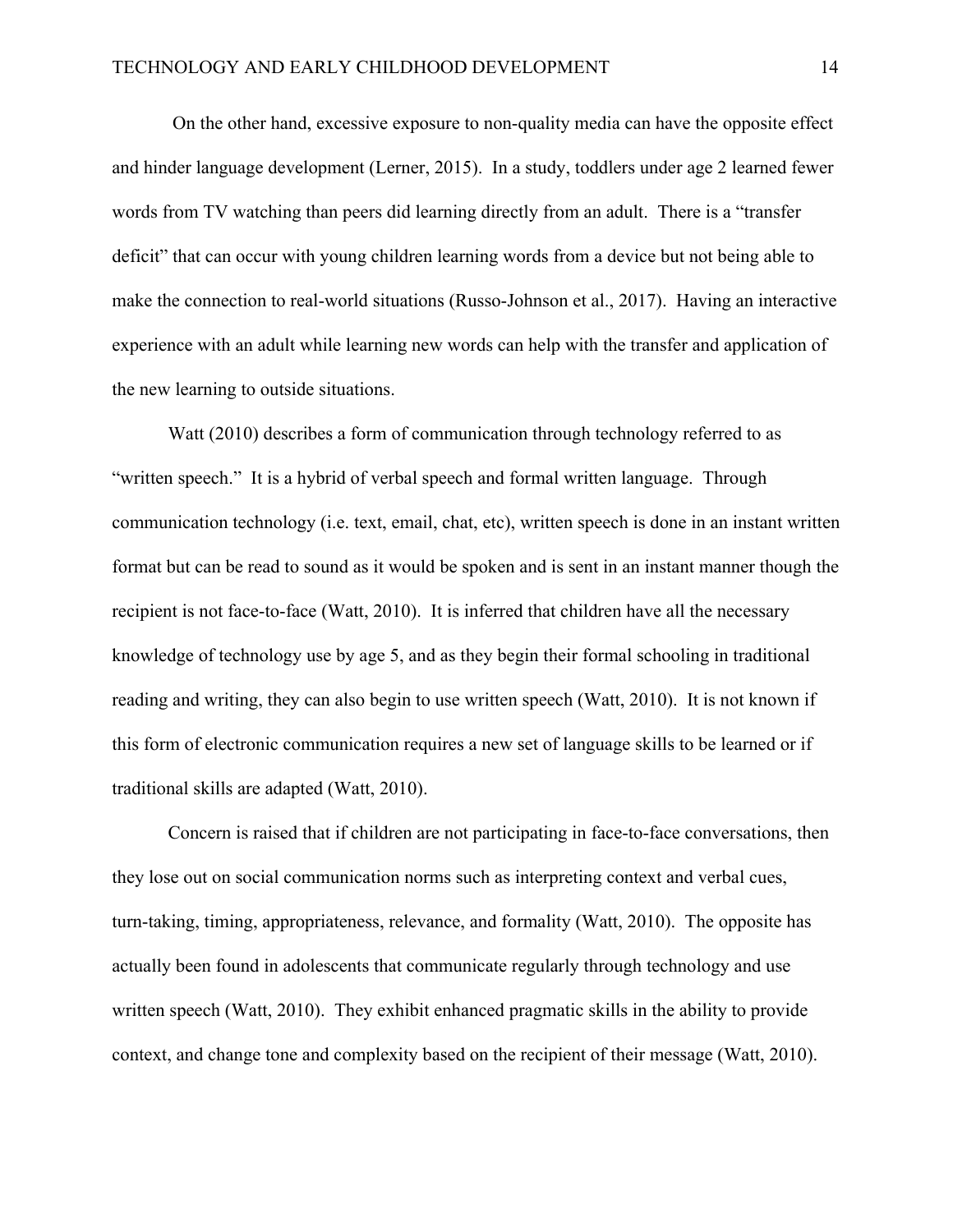On the other hand, excessive exposure to non-quality media can have the opposite effect and hinder language development (Lerner, 2015). In a study, toddlers under age 2 learned fewer words from TV watching than peers did learning directly from an adult. There is a "transfer deficit" that can occur with young children learning words from a device but not being able to make the connection to real-world situations (Russo-Johnson et al., 2017). Having an interactive experience with an adult while learning new words can help with the transfer and application of the new learning to outside situations.

Watt (2010) describes a form of communication through technology referred to as "written speech." It is a hybrid of verbal speech and formal written language. Through communication technology (i.e. text, email, chat, etc), written speech is done in an instant written format but can be read to sound as it would be spoken and is sent in an instant manner though the recipient is not face-to-face (Watt, 2010). It is inferred that children have all the necessary knowledge of technology use by age 5, and as they begin their formal schooling in traditional reading and writing, they can also begin to use written speech (Watt, 2010). It is not known if this form of electronic communication requires a new set of language skills to be learned or if traditional skills are adapted (Watt, 2010).

Concern is raised that if children are not participating in face-to-face conversations, then they lose out on social communication norms such as interpreting context and verbal cues, turn-taking, timing, appropriateness, relevance, and formality (Watt, 2010). The opposite has actually been found in adolescents that communicate regularly through technology and use written speech (Watt, 2010). They exhibit enhanced pragmatic skills in the ability to provide context, and change tone and complexity based on the recipient of their message (Watt, 2010).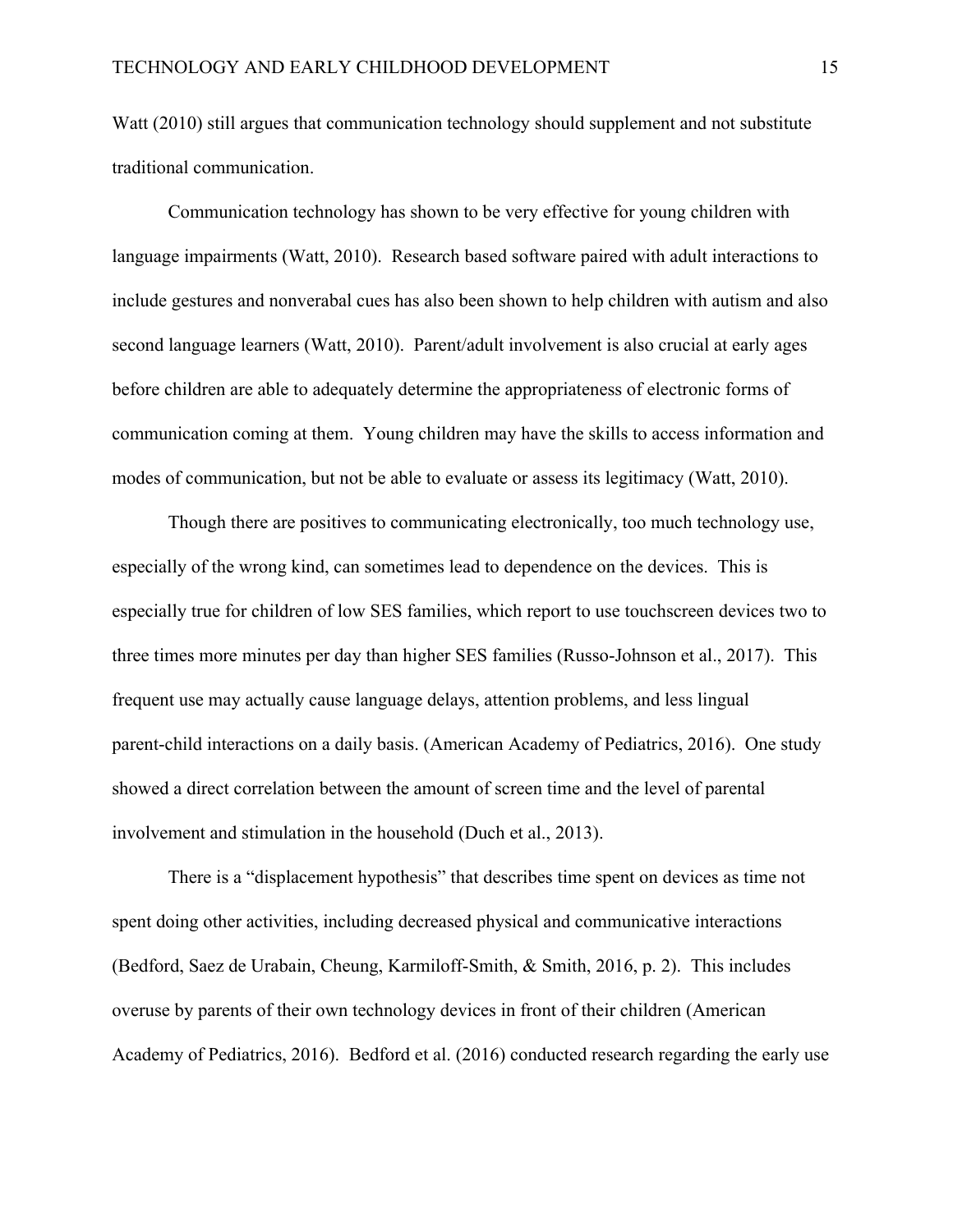Watt (2010) still argues that communication technology should supplement and not substitute traditional communication.

Communication technology has shown to be very effective for young children with language impairments (Watt, 2010). Research based software paired with adult interactions to include gestures and nonverabal cues has also been shown to help children with autism and also second language learners (Watt, 2010). Parent/adult involvement is also crucial at early ages before children are able to adequately determine the appropriateness of electronic forms of communication coming at them. Young children may have the skills to access information and modes of communication, but not be able to evaluate or assess its legitimacy (Watt, 2010).

Though there are positives to communicating electronically, too much technology use, especially of the wrong kind, can sometimes lead to dependence on the devices. This is especially true for children of low SES families, which report to use touchscreen devices two to three times more minutes per day than higher SES families (Russo-Johnson et al., 2017). This frequent use may actually cause language delays, attention problems, and less lingual parent-child interactions on a daily basis. (American Academy of Pediatrics, 2016). One study showed a direct correlation between the amount of screen time and the level of parental involvement and stimulation in the household (Duch et al., 2013).

There is a "displacement hypothesis" that describes time spent on devices as time not spent doing other activities, including decreased physical and communicative interactions (Bedford, Saez de Urabain, Cheung, Karmiloff-Smith, & Smith, 2016, p. 2). This includes overuse by parents of their own technology devices in front of their children (American Academy of Pediatrics, 2016). Bedford et al. (2016) conducted research regarding the early use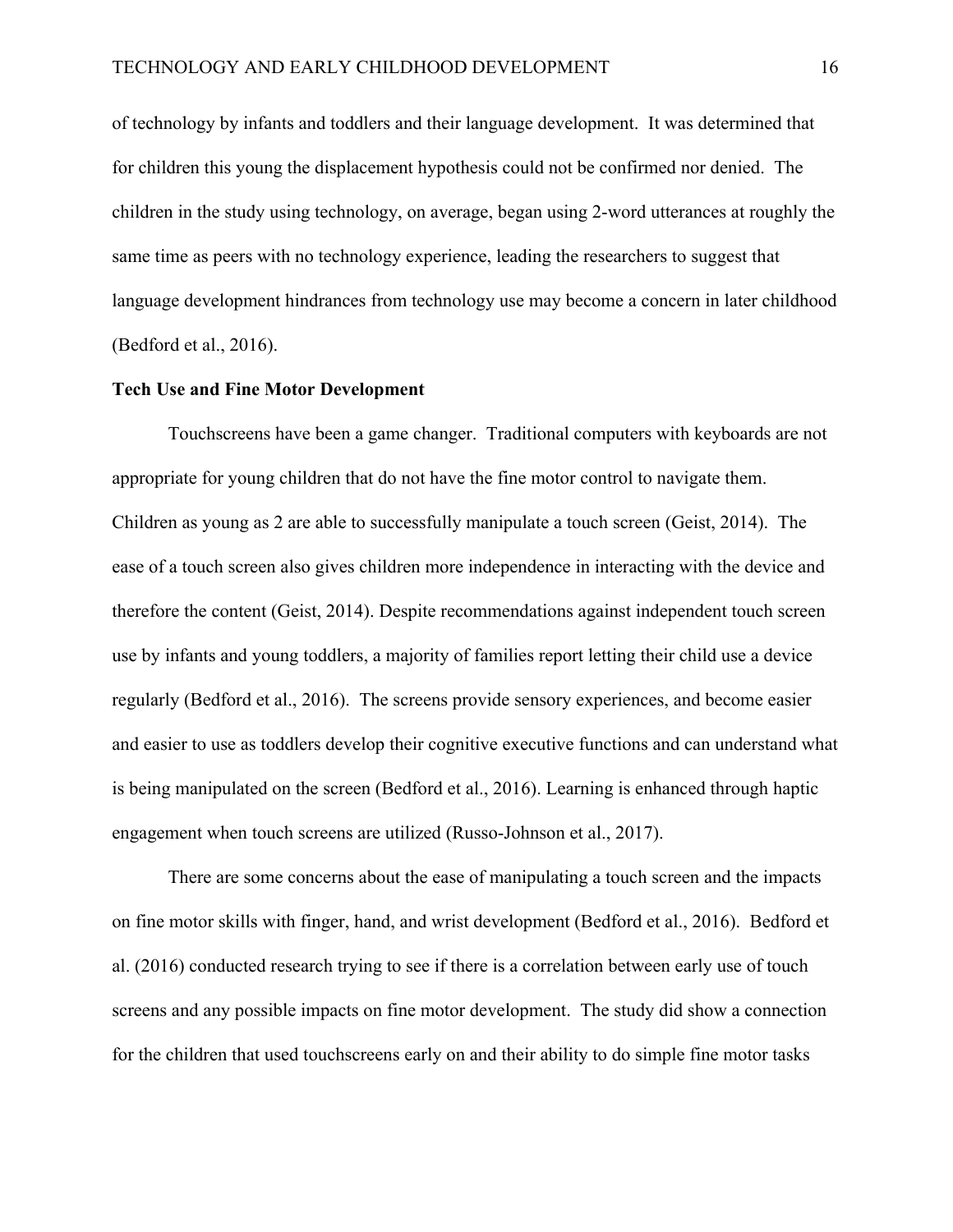of technology by infants and toddlers and their language development. It was determined that for children this young the displacement hypothesis could not be confirmed nor denied. The children in the study using technology, on average, began using 2-word utterances at roughly the same time as peers with no technology experience, leading the researchers to suggest that language development hindrances from technology use may become a concern in later childhood (Bedford et al., 2016).

#### **Tech Use and Fine Motor Development**

Touchscreens have been a game changer. Traditional computers with keyboards are not appropriate for young children that do not have the fine motor control to navigate them. Children as young as 2 are able to successfully manipulate a touch screen (Geist, 2014). The ease of a touch screen also gives children more independence in interacting with the device and therefore the content (Geist, 2014). Despite recommendations against independent touch screen use by infants and young toddlers, a majority of families report letting their child use a device regularly (Bedford et al., 2016). The screens provide sensory experiences, and become easier and easier to use as toddlers develop their cognitive executive functions and can understand what is being manipulated on the screen (Bedford et al., 2016). Learning is enhanced through haptic engagement when touch screens are utilized (Russo-Johnson et al., 2017).

There are some concerns about the ease of manipulating a touch screen and the impacts on fine motor skills with finger, hand, and wrist development (Bedford et al., 2016). Bedford et al. (2016) conducted research trying to see if there is a correlation between early use of touch screens and any possible impacts on fine motor development. The study did show a connection for the children that used touchscreens early on and their ability to do simple fine motor tasks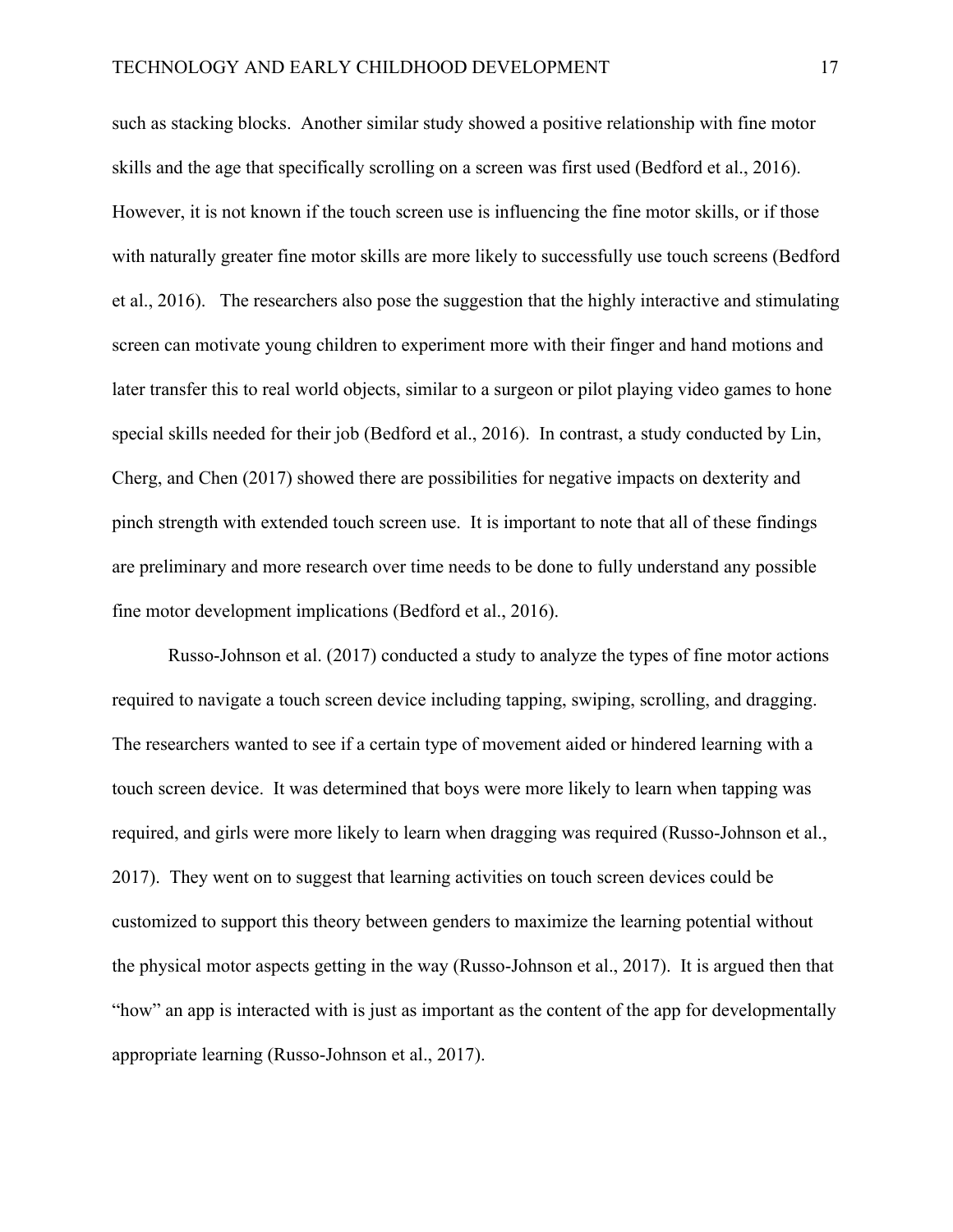such as stacking blocks. Another similar study showed a positive relationship with fine motor skills and the age that specifically scrolling on a screen was first used (Bedford et al., 2016). However, it is not known if the touch screen use is influencing the fine motor skills, or if those with naturally greater fine motor skills are more likely to successfully use touch screens (Bedford et al., 2016). The researchers also pose the suggestion that the highly interactive and stimulating screen can motivate young children to experiment more with their finger and hand motions and later transfer this to real world objects, similar to a surgeon or pilot playing video games to hone special skills needed for their job (Bedford et al., 2016). In contrast, a study conducted by Lin, Cherg, and Chen (2017) showed there are possibilities for negative impacts on dexterity and pinch strength with extended touch screen use. It is important to note that all of these findings are preliminary and more research over time needs to be done to fully understand any possible fine motor development implications (Bedford et al., 2016).

Russo-Johnson et al. (2017) conducted a study to analyze the types of fine motor actions required to navigate a touch screen device including tapping, swiping, scrolling, and dragging. The researchers wanted to see if a certain type of movement aided or hindered learning with a touch screen device. It was determined that boys were more likely to learn when tapping was required, and girls were more likely to learn when dragging was required (Russo-Johnson et al., 2017). They went on to suggest that learning activities on touch screen devices could be customized to support this theory between genders to maximize the learning potential without the physical motor aspects getting in the way (Russo-Johnson et al., 2017). It is argued then that "how" an app is interacted with is just as important as the content of the app for developmentally appropriate learning (Russo-Johnson et al., 2017).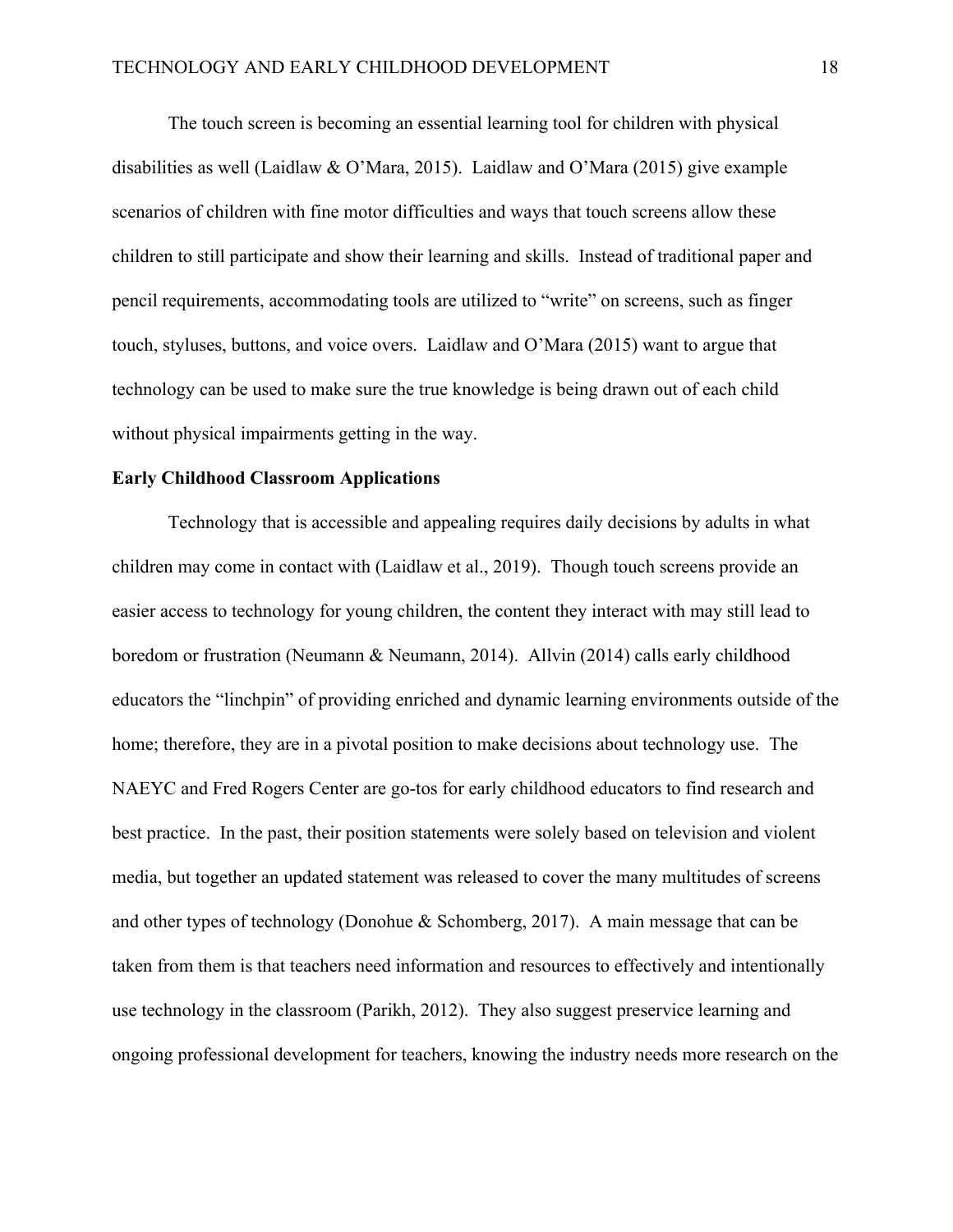The touch screen is becoming an essential learning tool for children with physical disabilities as well (Laidlaw & O'Mara, 2015). Laidlaw and O'Mara (2015) give example scenarios of children with fine motor difficulties and ways that touch screens allow these children to still participate and show their learning and skills. Instead of traditional paper and pencil requirements, accommodating tools are utilized to "write" on screens, such as finger touch, styluses, buttons, and voice overs. Laidlaw and O'Mara (2015) want to argue that technology can be used to make sure the true knowledge is being drawn out of each child without physical impairments getting in the way.

#### **Early Childhood Classroom Applications**

Technology that is accessible and appealing requires daily decisions by adults in what children may come in contact with (Laidlaw et al., 2019). Though touch screens provide an easier access to technology for young children, the content they interact with may still lead to boredom or frustration (Neumann & Neumann, 2014). Allvin (2014) calls early childhood educators the "linchpin" of providing enriched and dynamic learning environments outside of the home; therefore, they are in a pivotal position to make decisions about technology use. The NAEYC and Fred Rogers Center are go-tos for early childhood educators to find research and best practice. In the past, their position statements were solely based on television and violent media, but together an updated statement was released to cover the many multitudes of screens and other types of technology (Donohue & Schomberg, 2017). A main message that can be taken from them is that teachers need information and resources to effectively and intentionally use technology in the classroom (Parikh, 2012). They also suggest preservice learning and ongoing professional development for teachers, knowing the industry needs more research on the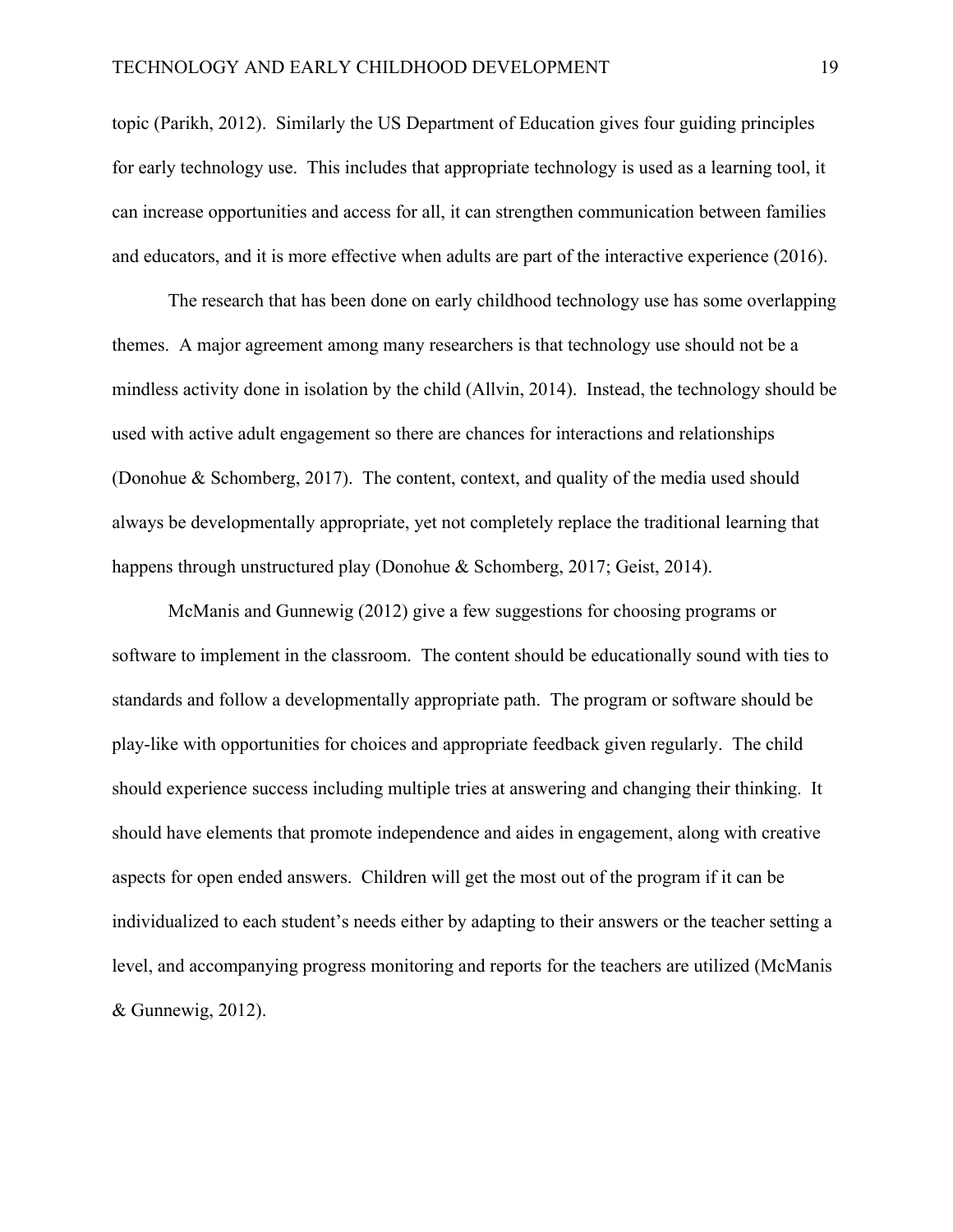topic (Parikh, 2012). Similarly the US Department of Education gives four guiding principles for early technology use. This includes that appropriate technology is used as a learning tool, it can increase opportunities and access for all, it can strengthen communication between families and educators, and it is more effective when adults are part of the interactive experience (2016).

The research that has been done on early childhood technology use has some overlapping themes. A major agreement among many researchers is that technology use should not be a mindless activity done in isolation by the child (Allvin, 2014). Instead, the technology should be used with active adult engagement so there are chances for interactions and relationships (Donohue & Schomberg, 2017). The content, context, and quality of the media used should always be developmentally appropriate, yet not completely replace the traditional learning that happens through unstructured play (Donohue & Schomberg, 2017; Geist, 2014).

McManis and Gunnewig (2012) give a few suggestions for choosing programs or software to implement in the classroom. The content should be educationally sound with ties to standards and follow a developmentally appropriate path. The program or software should be play-like with opportunities for choices and appropriate feedback given regularly. The child should experience success including multiple tries at answering and changing their thinking. It should have elements that promote independence and aides in engagement, along with creative aspects for open ended answers. Children will get the most out of the program if it can be individualized to each student's needs either by adapting to their answers or the teacher setting a level, and accompanying progress monitoring and reports for the teachers are utilized (McManis & Gunnewig, 2012).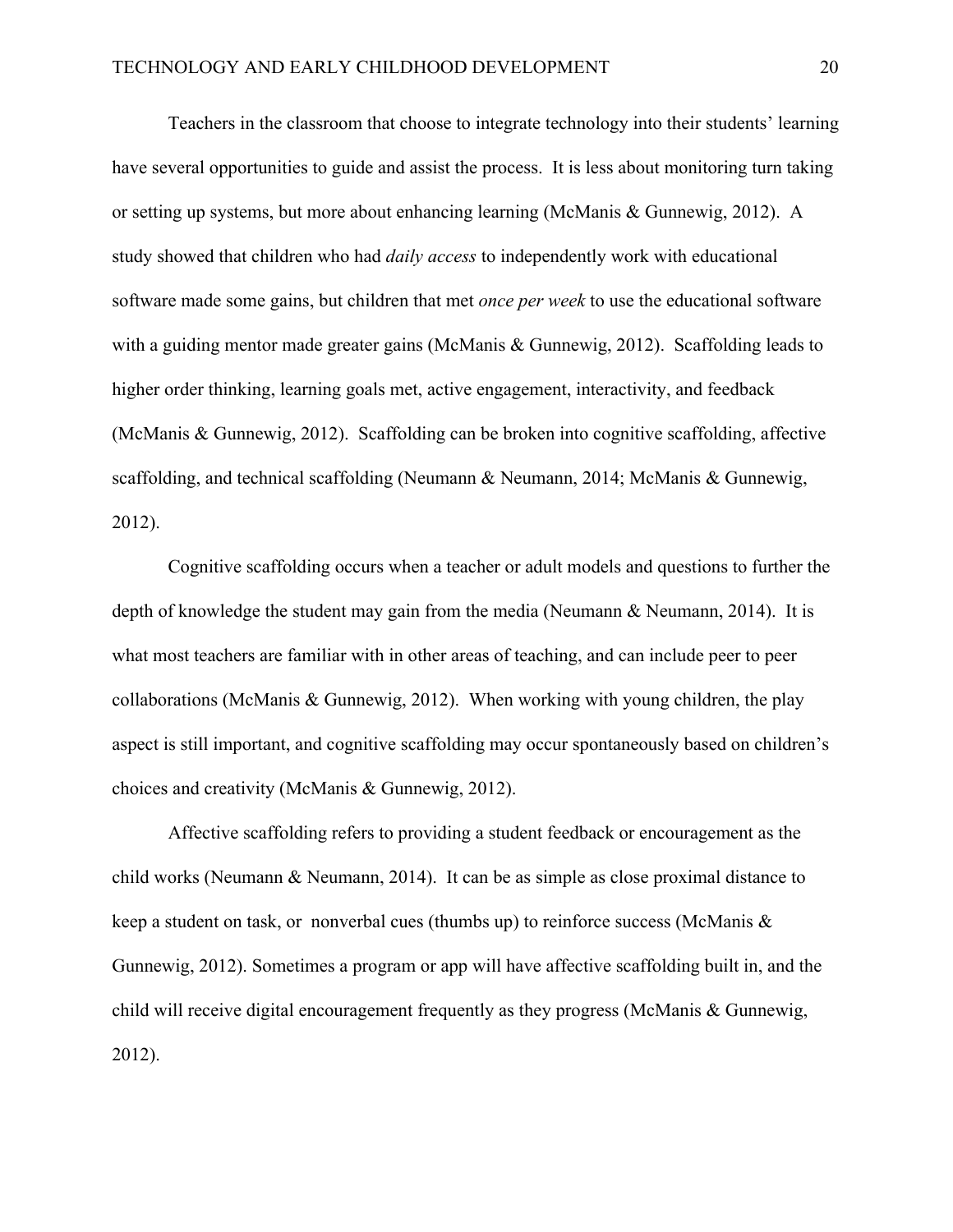Teachers in the classroom that choose to integrate technology into their students' learning have several opportunities to guide and assist the process. It is less about monitoring turn taking or setting up systems, but more about enhancing learning (McManis & Gunnewig, 2012). A study showed that children who had *daily access* to independently work with educational software made some gains, but children that met *once per week* to use the educational software with a guiding mentor made greater gains (McManis & Gunnewig, 2012). Scaffolding leads to higher order thinking, learning goals met, active engagement, interactivity, and feedback (McManis & Gunnewig, 2012). Scaffolding can be broken into cognitive scaffolding, affective scaffolding, and technical scaffolding (Neumann & Neumann, 2014; McManis & Gunnewig, 2012).

Cognitive scaffolding occurs when a teacher or adult models and questions to further the depth of knowledge the student may gain from the media (Neumann & Neumann, 2014). It is what most teachers are familiar with in other areas of teaching, and can include peer to peer collaborations (McManis & Gunnewig, 2012). When working with young children, the play aspect is still important, and cognitive scaffolding may occur spontaneously based on children's choices and creativity (McManis & Gunnewig, 2012).

Affective scaffolding refers to providing a student feedback or encouragement as the child works (Neumann & Neumann, 2014). It can be as simple as close proximal distance to keep a student on task, or nonverbal cues (thumbs up) to reinforce success (McManis & Gunnewig, 2012). Sometimes a program or app will have affective scaffolding built in, and the child will receive digital encouragement frequently as they progress (McManis & Gunnewig, 2012).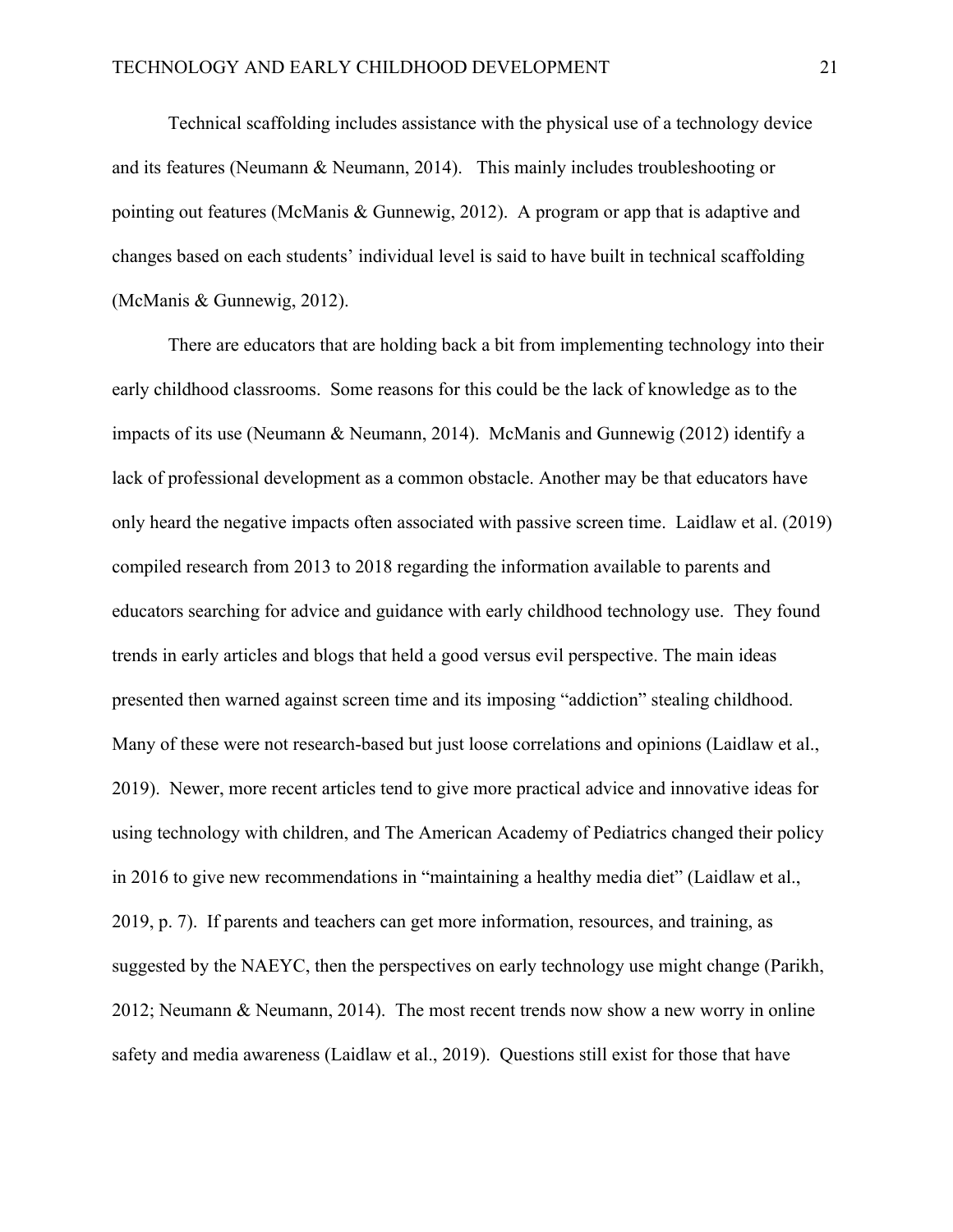Technical scaffolding includes assistance with the physical use of a technology device and its features (Neumann & Neumann, 2014). This mainly includes troubleshooting or pointing out features (McManis & Gunnewig, 2012). A program or app that is adaptive and changes based on each students' individual level is said to have built in technical scaffolding (McManis & Gunnewig, 2012).

There are educators that are holding back a bit from implementing technology into their early childhood classrooms. Some reasons for this could be the lack of knowledge as to the impacts of its use (Neumann & Neumann, 2014). McManis and Gunnewig (2012) identify a lack of professional development as a common obstacle. Another may be that educators have only heard the negative impacts often associated with passive screen time. Laidlaw et al. (2019) compiled research from 2013 to 2018 regarding the information available to parents and educators searching for advice and guidance with early childhood technology use. They found trends in early articles and blogs that held a good versus evil perspective. The main ideas presented then warned against screen time and its imposing "addiction" stealing childhood. Many of these were not research-based but just loose correlations and opinions (Laidlaw et al., 2019). Newer, more recent articles tend to give more practical advice and innovative ideas for using technology with children, and The American Academy of Pediatrics changed their policy in 2016 to give new recommendations in "maintaining a healthy media diet" (Laidlaw et al., 2019, p. 7). If parents and teachers can get more information, resources, and training, as suggested by the NAEYC, then the perspectives on early technology use might change (Parikh, 2012; Neumann & Neumann, 2014). The most recent trends now show a new worry in online safety and media awareness (Laidlaw et al., 2019). Questions still exist for those that have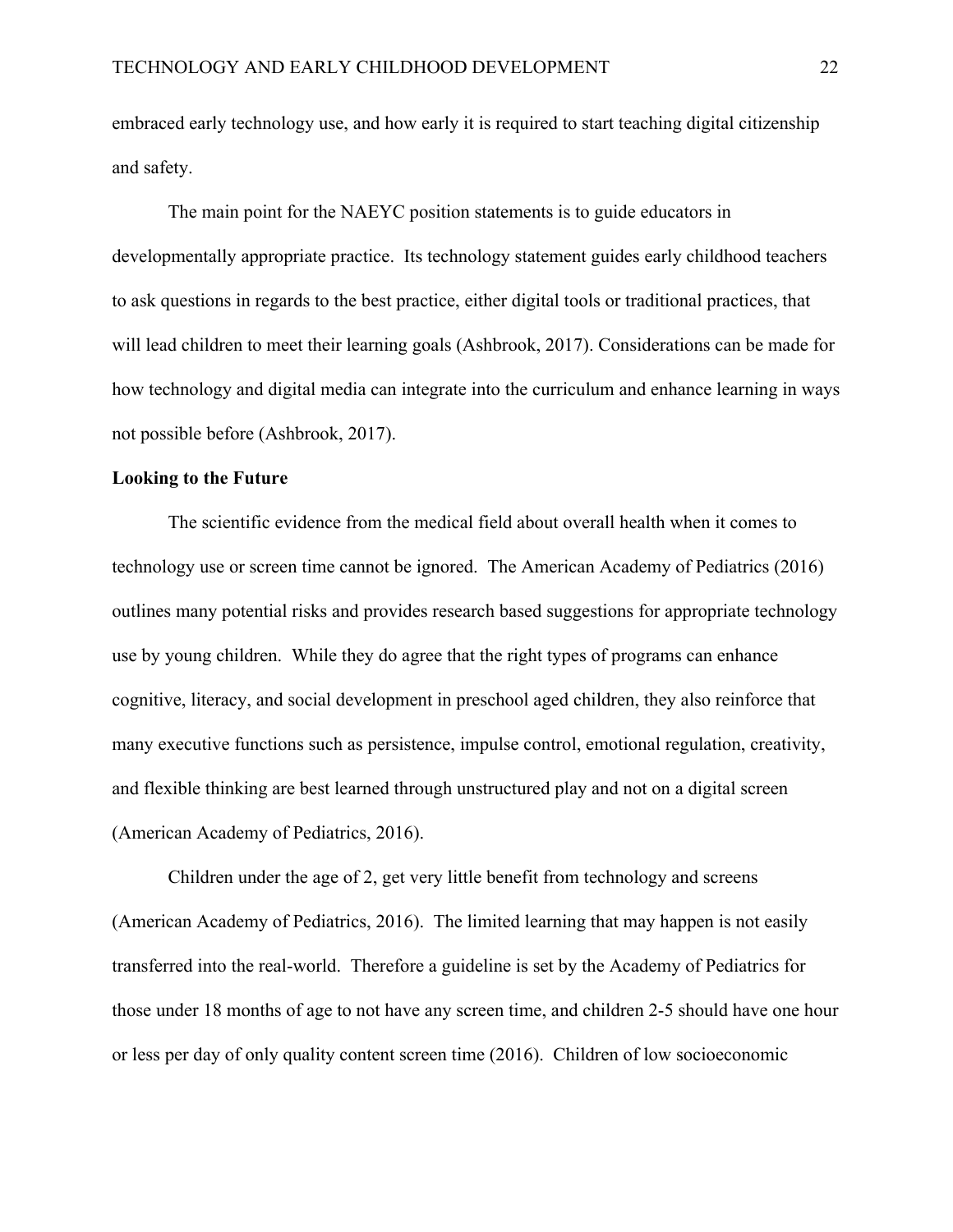embraced early technology use, and how early it is required to start teaching digital citizenship and safety.

The main point for the NAEYC position statements is to guide educators in developmentally appropriate practice. Its technology statement guides early childhood teachers to ask questions in regards to the best practice, either digital tools or traditional practices, that will lead children to meet their learning goals (Ashbrook, 2017). Considerations can be made for how technology and digital media can integrate into the curriculum and enhance learning in ways not possible before (Ashbrook, 2017).

#### **Looking to the Future**

The scientific evidence from the medical field about overall health when it comes to technology use or screen time cannot be ignored. The American Academy of Pediatrics (2016) outlines many potential risks and provides research based suggestions for appropriate technology use by young children. While they do agree that the right types of programs can enhance cognitive, literacy, and social development in preschool aged children, they also reinforce that many executive functions such as persistence, impulse control, emotional regulation, creativity, and flexible thinking are best learned through unstructured play and not on a digital screen (American Academy of Pediatrics, 2016).

Children under the age of 2, get very little benefit from technology and screens (American Academy of Pediatrics, 2016). The limited learning that may happen is not easily transferred into the real-world. Therefore a guideline is set by the Academy of Pediatrics for those under 18 months of age to not have any screen time, and children 2-5 should have one hour or less per day of only quality content screen time (2016). Children of low socioeconomic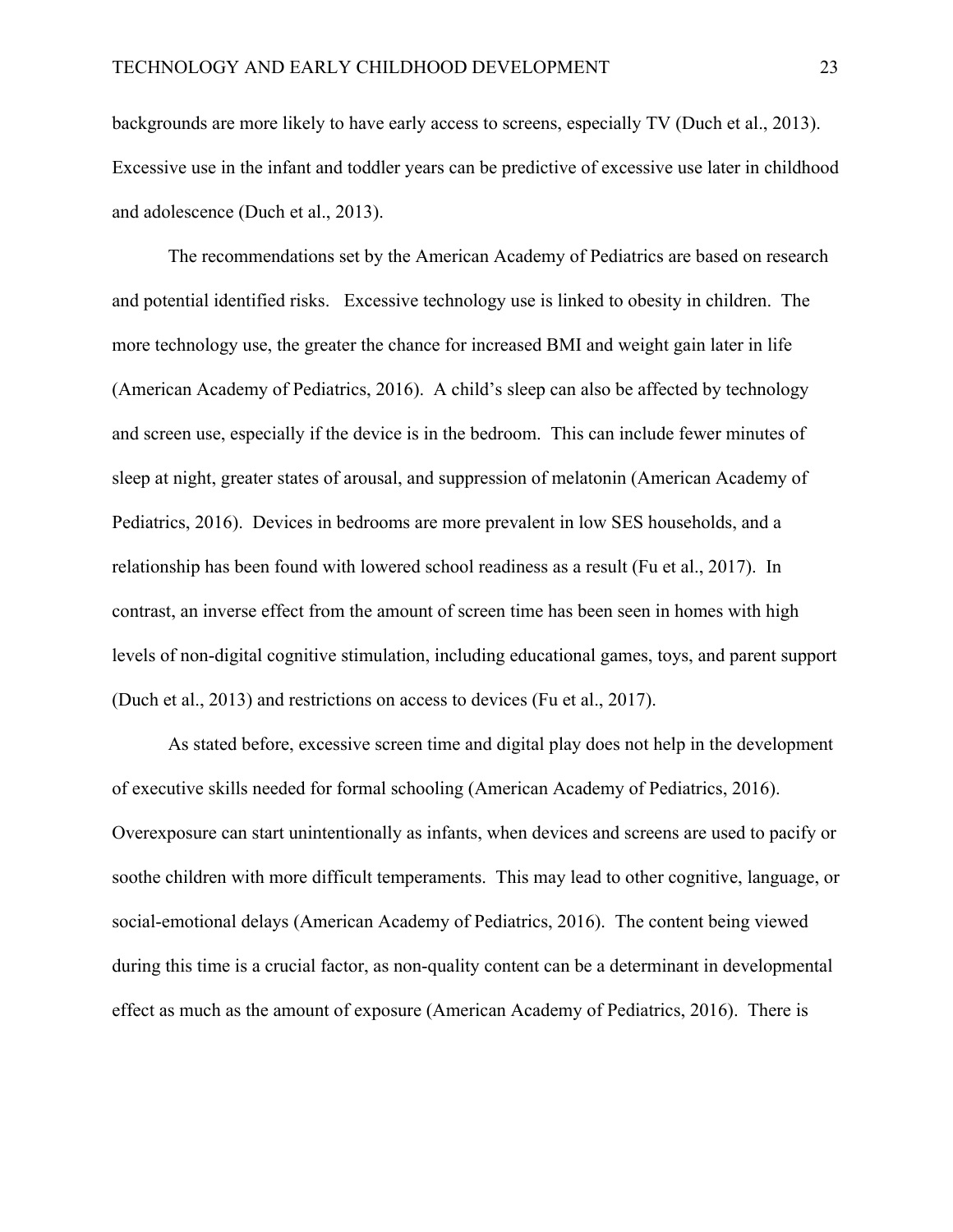backgrounds are more likely to have early access to screens, especially TV (Duch et al., 2013). Excessive use in the infant and toddler years can be predictive of excessive use later in childhood and adolescence (Duch et al., 2013).

The recommendations set by the American Academy of Pediatrics are based on research and potential identified risks. Excessive technology use is linked to obesity in children. The more technology use, the greater the chance for increased BMI and weight gain later in life (American Academy of Pediatrics, 2016). A child's sleep can also be affected by technology and screen use, especially if the device is in the bedroom. This can include fewer minutes of sleep at night, greater states of arousal, and suppression of melatonin (American Academy of Pediatrics, 2016). Devices in bedrooms are more prevalent in low SES households, and a relationship has been found with lowered school readiness as a result (Fu et al., 2017). In contrast, an inverse effect from the amount of screen time has been seen in homes with high levels of non-digital cognitive stimulation, including educational games, toys, and parent support (Duch et al., 2013) and restrictions on access to devices (Fu et al., 2017).

As stated before, excessive screen time and digital play does not help in the development of executive skills needed for formal schooling (American Academy of Pediatrics, 2016). Overexposure can start unintentionally as infants, when devices and screens are used to pacify or soothe children with more difficult temperaments. This may lead to other cognitive, language, or social-emotional delays (American Academy of Pediatrics, 2016). The content being viewed during this time is a crucial factor, as non-quality content can be a determinant in developmental effect as much as the amount of exposure (American Academy of Pediatrics, 2016). There is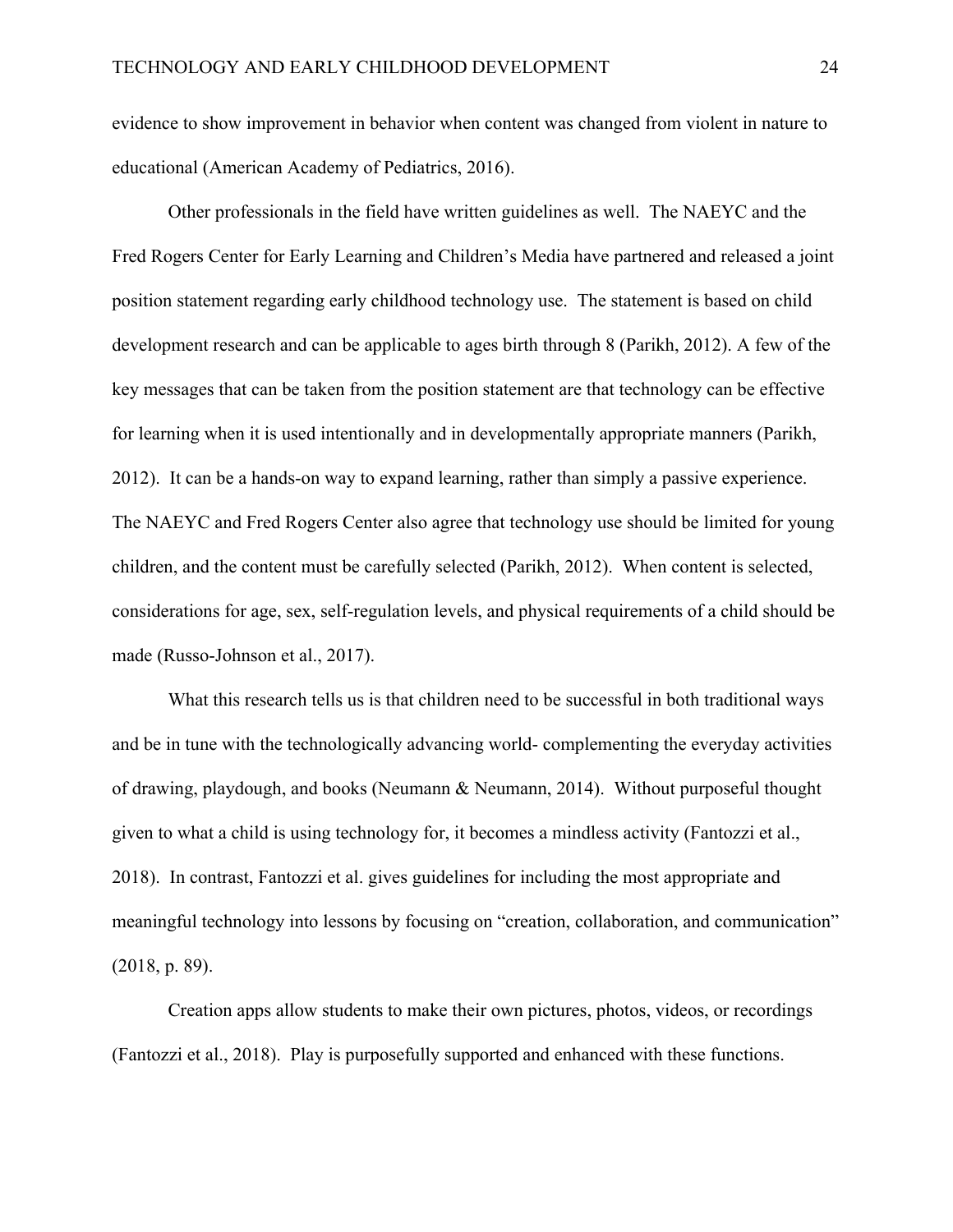evidence to show improvement in behavior when content was changed from violent in nature to educational (American Academy of Pediatrics, 2016).

Other professionals in the field have written guidelines as well. The NAEYC and the Fred Rogers Center for Early Learning and Children's Media have partnered and released a joint position statement regarding early childhood technology use. The statement is based on child development research and can be applicable to ages birth through 8 (Parikh, 2012). A few of the key messages that can be taken from the position statement are that technology can be effective for learning when it is used intentionally and in developmentally appropriate manners (Parikh, 2012). It can be a hands-on way to expand learning, rather than simply a passive experience. The NAEYC and Fred Rogers Center also agree that technology use should be limited for young children, and the content must be carefully selected (Parikh, 2012). When content is selected, considerations for age, sex, self-regulation levels, and physical requirements of a child should be made (Russo-Johnson et al., 2017).

What this research tells us is that children need to be successful in both traditional ways and be in tune with the technologically advancing world- complementing the everyday activities of drawing, playdough, and books (Neumann & Neumann, 2014). Without purposeful thought given to what a child is using technology for, it becomes a mindless activity (Fantozzi et al., 2018). In contrast, Fantozzi et al. gives guidelines for including the most appropriate and meaningful technology into lessons by focusing on "creation, collaboration, and communication" (2018, p. 89).

Creation apps allow students to make their own pictures, photos, videos, or recordings (Fantozzi et al., 2018). Play is purposefully supported and enhanced with these functions.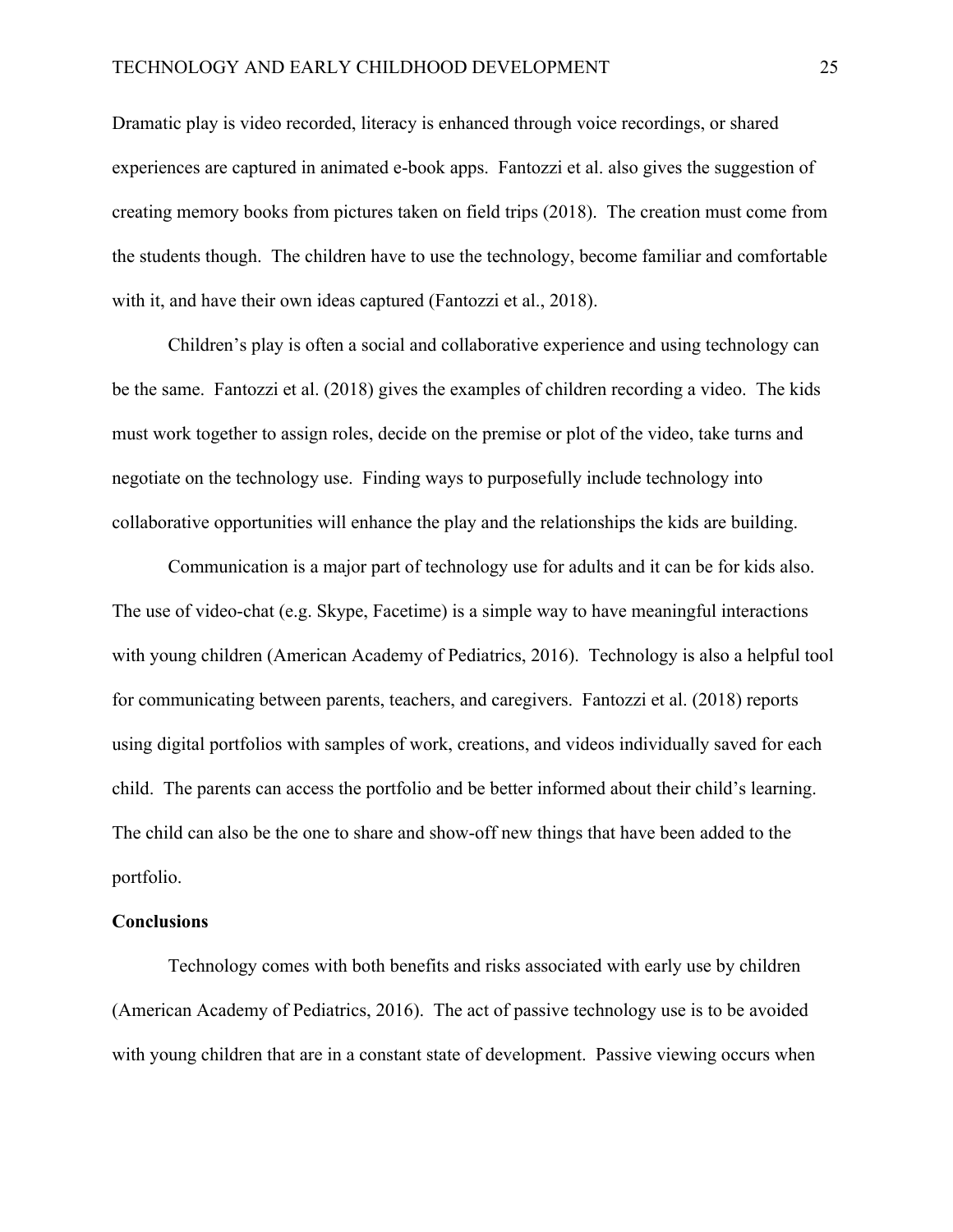Dramatic play is video recorded, literacy is enhanced through voice recordings, or shared experiences are captured in animated e-book apps. Fantozzi et al. also gives the suggestion of creating memory books from pictures taken on field trips (2018). The creation must come from the students though. The children have to use the technology, become familiar and comfortable with it, and have their own ideas captured (Fantozzi et al., 2018).

Children's play is often a social and collaborative experience and using technology can be the same. Fantozzi et al. (2018) gives the examples of children recording a video. The kids must work together to assign roles, decide on the premise or plot of the video, take turns and negotiate on the technology use. Finding ways to purposefully include technology into collaborative opportunities will enhance the play and the relationships the kids are building.

Communication is a major part of technology use for adults and it can be for kids also. The use of video-chat (e.g. Skype, Facetime) is a simple way to have meaningful interactions with young children (American Academy of Pediatrics, 2016). Technology is also a helpful tool for communicating between parents, teachers, and caregivers. Fantozzi et al. (2018) reports using digital portfolios with samples of work, creations, and videos individually saved for each child. The parents can access the portfolio and be better informed about their child's learning. The child can also be the one to share and show-off new things that have been added to the portfolio.

#### **Conclusions**

Technology comes with both benefits and risks associated with early use by children (American Academy of Pediatrics, 2016). The act of passive technology use is to be avoided with young children that are in a constant state of development. Passive viewing occurs when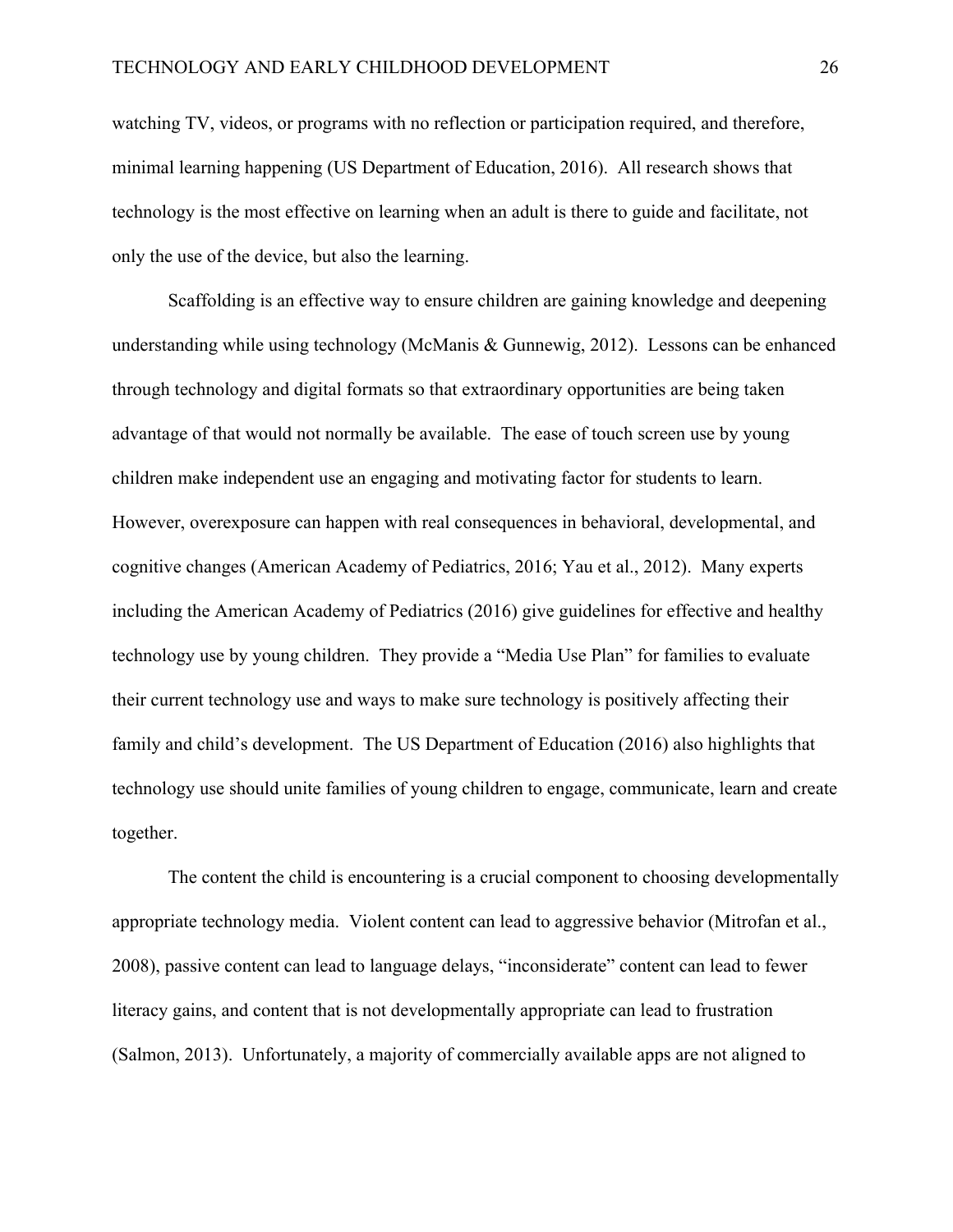watching TV, videos, or programs with no reflection or participation required, and therefore, minimal learning happening (US Department of Education, 2016). All research shows that technology is the most effective on learning when an adult is there to guide and facilitate, not only the use of the device, but also the learning.

Scaffolding is an effective way to ensure children are gaining knowledge and deepening understanding while using technology (McManis & Gunnewig, 2012). Lessons can be enhanced through technology and digital formats so that extraordinary opportunities are being taken advantage of that would not normally be available. The ease of touch screen use by young children make independent use an engaging and motivating factor for students to learn. However, overexposure can happen with real consequences in behavioral, developmental, and cognitive changes (American Academy of Pediatrics, 2016; Yau et al., 2012). Many experts including the American Academy of Pediatrics (2016) give guidelines for effective and healthy technology use by young children. They provide a "Media Use Plan" for families to evaluate their current technology use and ways to make sure technology is positively affecting their family and child's development. The US Department of Education (2016) also highlights that technology use should unite families of young children to engage, communicate, learn and create together.

The content the child is encountering is a crucial component to choosing developmentally appropriate technology media. Violent content can lead to aggressive behavior (Mitrofan et al., 2008), passive content can lead to language delays, "inconsiderate" content can lead to fewer literacy gains, and content that is not developmentally appropriate can lead to frustration (Salmon, 2013). Unfortunately, a majority of commercially available apps are not aligned to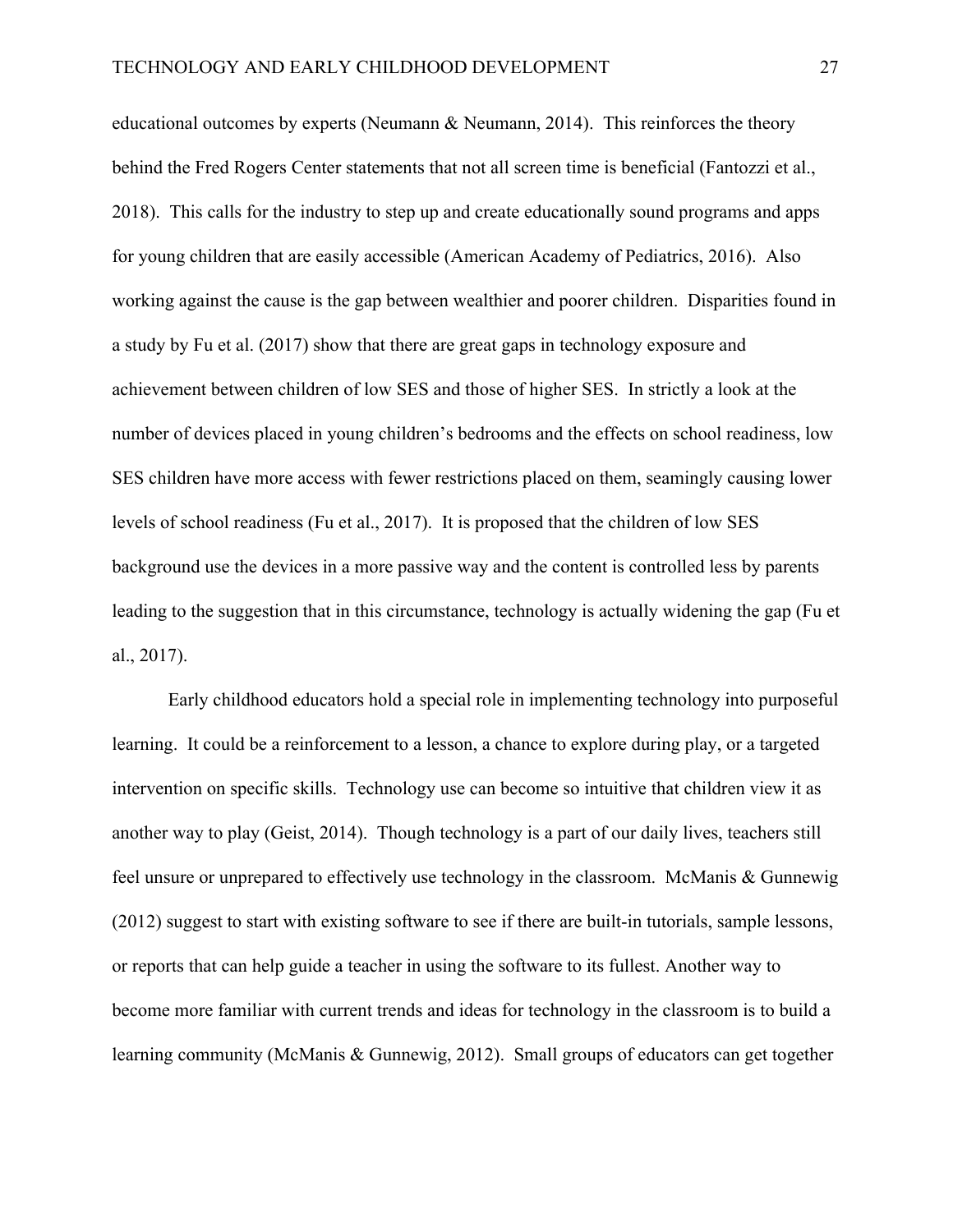educational outcomes by experts (Neumann  $\&$  Neumann, 2014). This reinforces the theory behind the Fred Rogers Center statements that not all screen time is beneficial (Fantozzi et al., 2018). This calls for the industry to step up and create educationally sound programs and apps for young children that are easily accessible (American Academy of Pediatrics, 2016). Also working against the cause is the gap between wealthier and poorer children. Disparities found in a study by Fu et al. (2017) show that there are great gaps in technology exposure and achievement between children of low SES and those of higher SES. In strictly a look at the number of devices placed in young children's bedrooms and the effects on school readiness, low SES children have more access with fewer restrictions placed on them, seamingly causing lower levels of school readiness (Fu et al., 2017). It is proposed that the children of low SES background use the devices in a more passive way and the content is controlled less by parents leading to the suggestion that in this circumstance, technology is actually widening the gap (Fu et al., 2017).

Early childhood educators hold a special role in implementing technology into purposeful learning. It could be a reinforcement to a lesson, a chance to explore during play, or a targeted intervention on specific skills. Technology use can become so intuitive that children view it as another way to play (Geist, 2014). Though technology is a part of our daily lives, teachers still feel unsure or unprepared to effectively use technology in the classroom. McManis & Gunnewig (2012) suggest to start with existing software to see if there are built-in tutorials, sample lessons, or reports that can help guide a teacher in using the software to its fullest. Another way to become more familiar with current trends and ideas for technology in the classroom is to build a learning community (McManis & Gunnewig, 2012). Small groups of educators can get together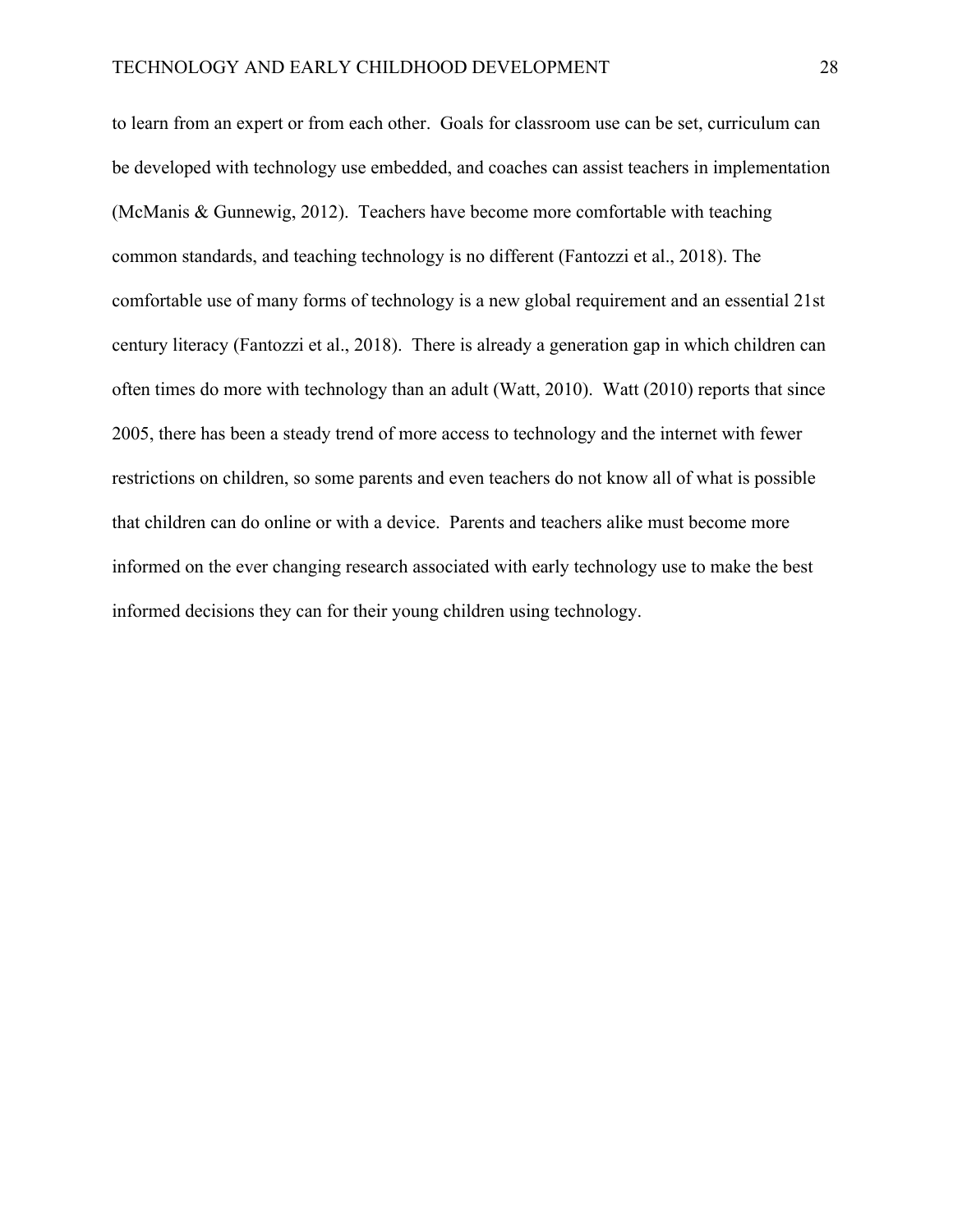to learn from an expert or from each other. Goals for classroom use can be set, curriculum can be developed with technology use embedded, and coaches can assist teachers in implementation (McManis & Gunnewig, 2012). Teachers have become more comfortable with teaching common standards, and teaching technology is no different (Fantozzi et al., 2018). The comfortable use of many forms of technology is a new global requirement and an essential 21st century literacy (Fantozzi et al., 2018). There is already a generation gap in which children can often times do more with technology than an adult (Watt, 2010). Watt (2010) reports that since 2005, there has been a steady trend of more access to technology and the internet with fewer restrictions on children, so some parents and even teachers do not know all of what is possible that children can do online or with a device. Parents and teachers alike must become more informed on the ever changing research associated with early technology use to make the best informed decisions they can for their young children using technology.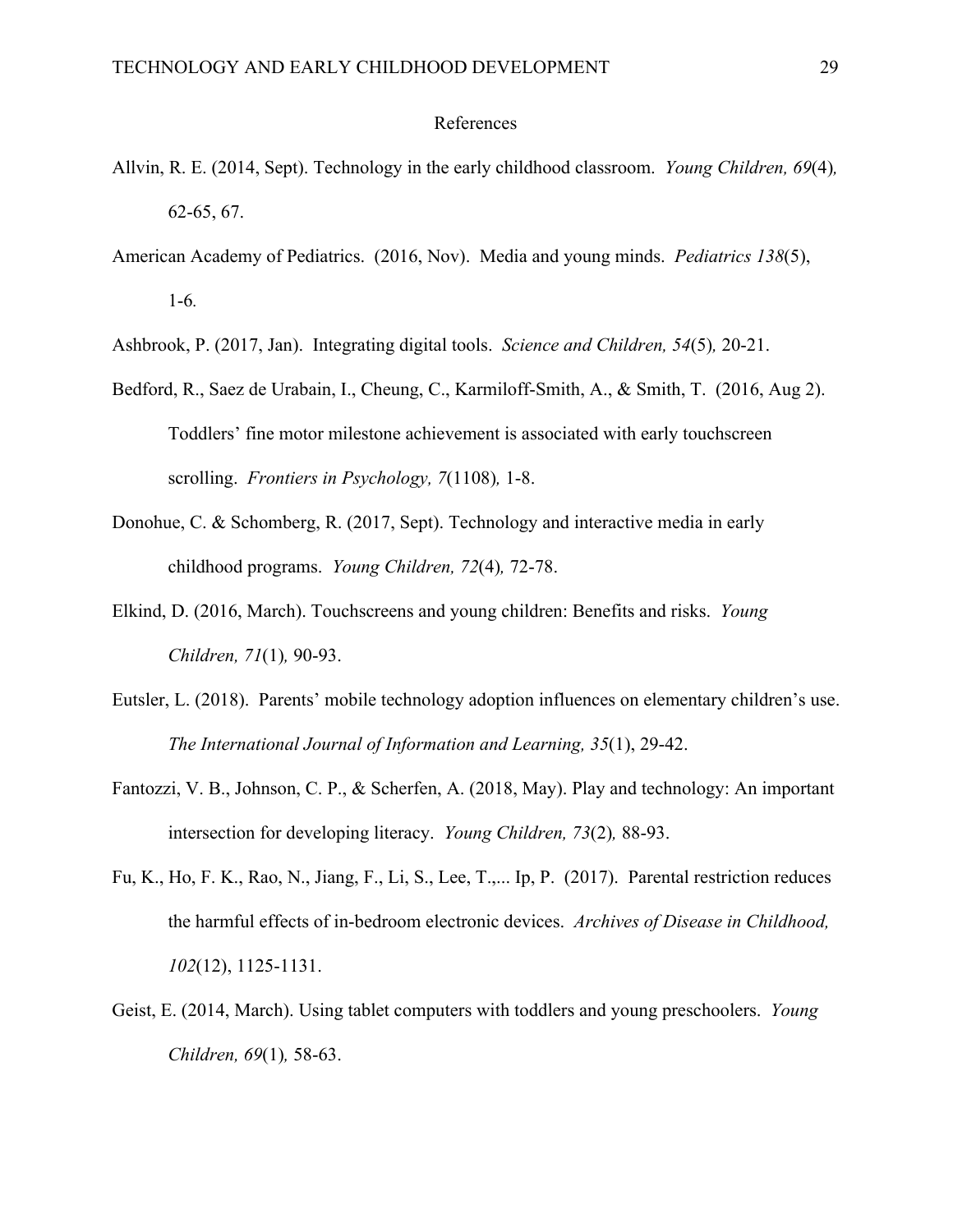#### References

- Allvin, R. E. (2014, Sept). Technology in the early childhood classroom. *Young Children, 69*(4)*,* 62-65, 67.
- American Academy of Pediatrics. (2016, Nov). Media and young minds. *Pediatrics 138*(5), 1-6*.*

Ashbrook, P. (2017, Jan). Integrating digital tools. *Science and Children, 54*(5)*,* 20-21.

- Bedford, R., Saez de Urabain, I., Cheung, C., Karmiloff-Smith, A., & Smith, T. (2016, Aug 2). Toddlers' fine motor milestone achievement is associated with early touchscreen scrolling. *Frontiers in Psychology, 7*(1108)*,* 1-8.
- Donohue, C. & Schomberg, R. (2017, Sept). Technology and interactive media in early childhood programs. *Young Children, 72*(4)*,* 72-78.
- Elkind, D. (2016, March). Touchscreens and young children: Benefits and risks. *Young Children, 71*(1)*,* 90-93.
- Eutsler, L. (2018). Parents' mobile technology adoption influences on elementary children's use. *The International Journal of Information and Learning, 35*(1), 29-42.
- Fantozzi, V. B., Johnson, C. P., & Scherfen, A. (2018, May). Play and technology: An important intersection for developing literacy. *Young Children, 73*(2)*,* 88-93.
- Fu, K., Ho, F. K., Rao, N., Jiang, F., Li, S., Lee, T.,... Ip, P. (2017). Parental restriction reduces the harmful effects of in-bedroom electronic devices. *Archives of Disease in Childhood, 102*(12), 1125-1131.
- Geist, E. (2014, March). Using tablet computers with toddlers and young preschoolers. *Young Children, 69*(1)*,* 58-63.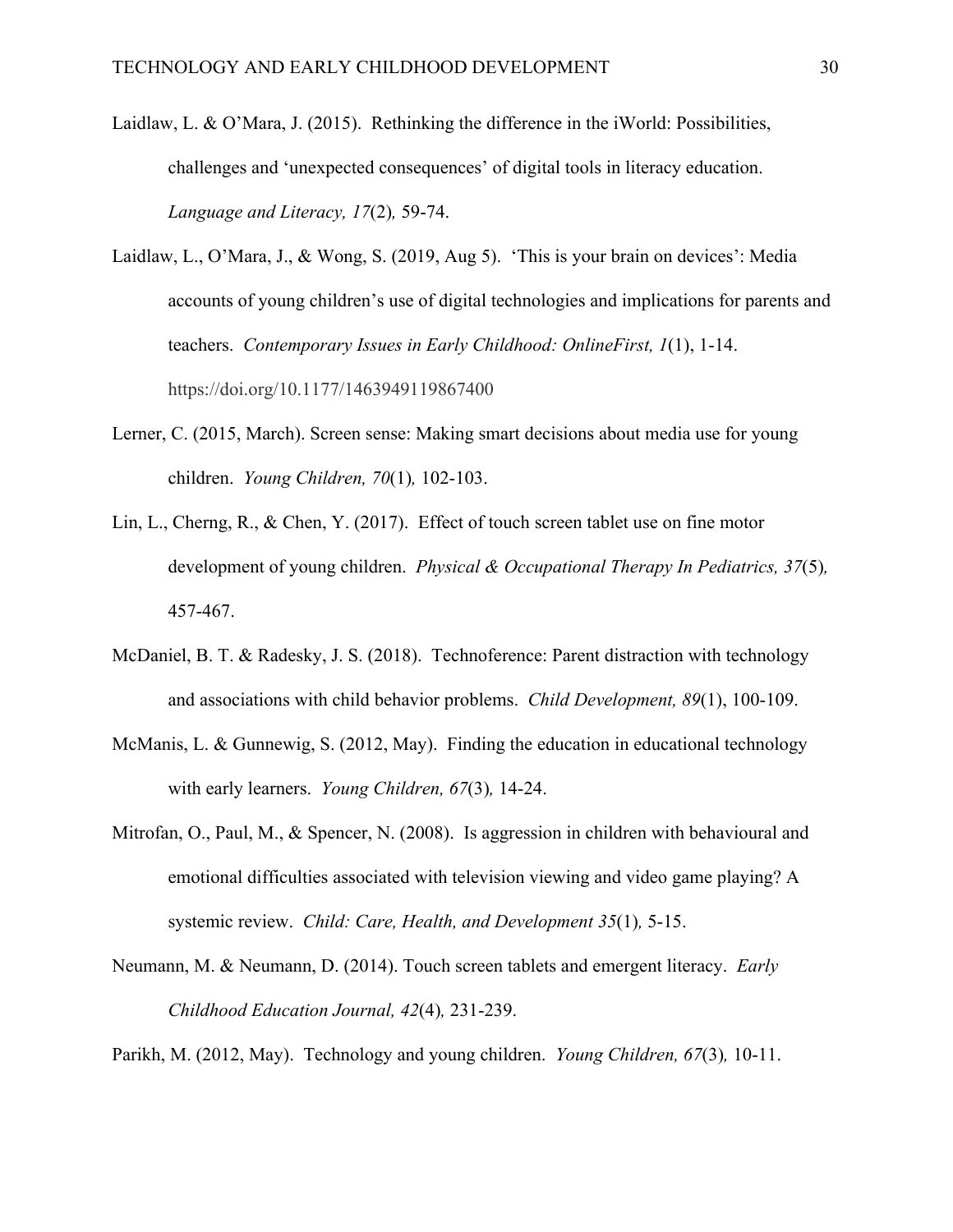- Laidlaw, L. & O'Mara, J. (2015). Rethinking the difference in the iWorld: Possibilities, challenges and 'unexpected consequences' of digital tools in literacy education. *Language and Literacy, 17*(2)*,* 59-74.
- Laidlaw, L., O'Mara, J., & Wong, S. (2019, Aug 5). 'This is your brain on devices': Media accounts of young children's use of digital technologies and implications for parents and teachers. *Contemporary Issues in Early Childhood: OnlineFirst, 1*(1), 1-14. https://doi.org/10.1177/1463949119867400
- Lerner, C. (2015, March). Screen sense: Making smart decisions about media use for young children. *Young Children, 70*(1)*,* 102-103.
- Lin, L., Cherng, R., & Chen, Y. (2017). Effect of touch screen tablet use on fine motor development of young children. *Physical & Occupational Therapy In Pediatrics, 37*(5)*,* 457-467.
- McDaniel, B. T. & Radesky, J. S. (2018). Technoference: Parent distraction with technology and associations with child behavior problems. *Child Development, 89*(1), 100-109.
- McManis, L. & Gunnewig, S. (2012, May). Finding the education in educational technology with early learners. *Young Children, 67*(3)*,* 14-24.
- Mitrofan, O., Paul, M., & Spencer, N. (2008). Is aggression in children with behavioural and emotional difficulties associated with television viewing and video game playing? A systemic review. *Child: Care, Health, and Development 35*(1)*,* 5-15.
- Neumann, M. & Neumann, D. (2014). Touch screen tablets and emergent literacy. *Early Childhood Education Journal, 42*(4)*,* 231-239.

Parikh, M. (2012, May). Technology and young children. *Young Children, 67*(3)*,* 10-11.